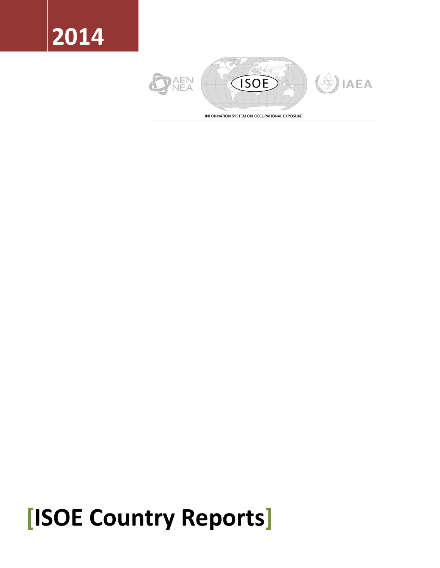# **2014**



# **[ISOE Country Reports]**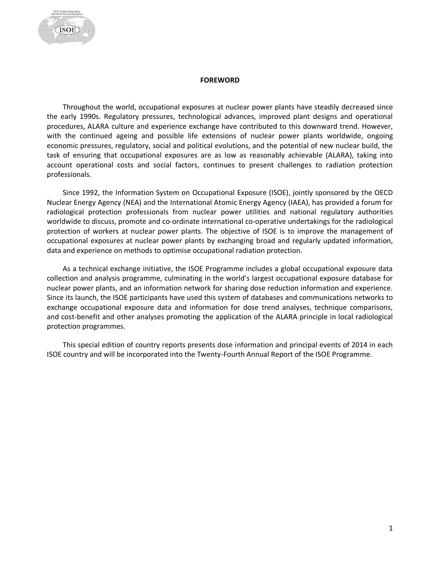#### **FOREWORD**

<span id="page-1-0"></span>Throughout the world, occupational exposures at nuclear power plants have steadily decreased since the early 1990s. Regulatory pressures, technological advances, improved plant designs and operational procedures, ALARA culture and experience exchange have contributed to this downward trend. However, with the continued ageing and possible life extensions of nuclear power plants worldwide, ongoing economic pressures, regulatory, social and political evolutions, and the potential of new nuclear build, the task of ensuring that occupational exposures are as low as reasonably achievable (ALARA), taking into account operational costs and social factors, continues to present challenges to radiation protection professionals.

Since 1992, the Information System on Occupational Exposure (ISOE), jointly sponsored by the OECD Nuclear Energy Agency (NEA) and the International Atomic Energy Agency (IAEA), has provided a forum for radiological protection professionals from nuclear power utilities and national regulatory authorities worldwide to discuss, promote and co-ordinate international co-operative undertakings for the radiological protection of workers at nuclear power plants. The objective of ISOE is to improve the management of occupational exposures at nuclear power plants by exchanging broad and regularly updated information, data and experience on methods to optimise occupational radiation protection.

As a technical exchange initiative, the ISOE Programme includes a global occupational exposure data collection and analysis programme, culminating in the world's largest occupational exposure database for nuclear power plants, and an information network for sharing dose reduction information and experience. Since its launch, the ISOE participants have used this system of databases and communications networks to exchange occupational exposure data and information for dose trend analyses, technique comparisons, and cost-benefit and other analyses promoting the application of the ALARA principle in local radiological protection programmes.

This special edition of country reports presents dose information and principal events of 2014 in each ISOE country and will be incorporated into the Twenty-Fourth Annual Report of the ISOE Programme.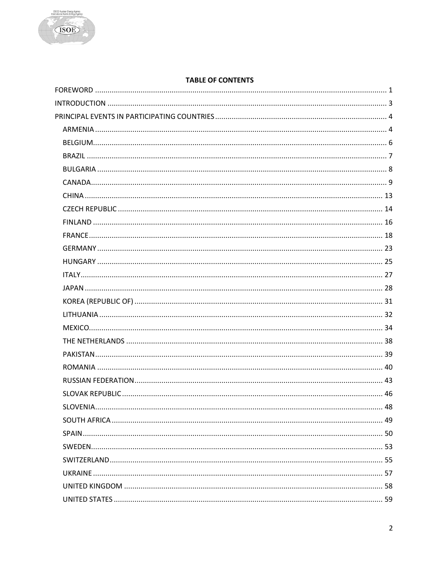

# **TABLE OF CONTENTS**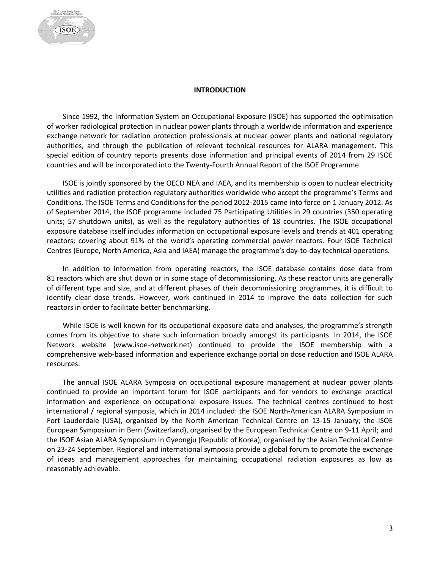#### **INTRODUCTION**

<span id="page-3-0"></span>Since 1992, the Information System on Occupational Exposure (ISOE) has supported the optimisation of worker radiological protection in nuclear power plants through a worldwide information and experience exchange network for radiation protection professionals at nuclear power plants and national regulatory authorities, and through the publication of relevant technical resources for ALARA management. This special edition of country reports presents dose information and principal events of 2014 from 29 ISOE countries and will be incorporated into the Twenty-Fourth Annual Report of the ISOE Programme.

ISOE is jointly sponsored by the OECD NEA and IAEA, and its membership is open to nuclear electricity utilities and radiation protection regulatory authorities worldwide who accept the programme's Terms and Conditions. The ISOE Terms and Conditions for the period 2012-2015 came into force on 1 January 2012. As of September 2014, the ISOE programme included 75 Participating Utilities in 29 countries (350 operating units; 57 shutdown units), as well as the regulatory authorities of 18 countries. The ISOE occupational exposure database itself includes information on occupational exposure levels and trends at 401 operating reactors; covering about 91% of the world's operating commercial power reactors. Four ISOE Technical Centres (Europe, North America, Asia and IAEA) manage the programme's day-to-day technical operations.

In addition to information from operating reactors, the ISOE database contains dose data from 81 reactors which are shut down or in some stage of decommissioning. As these reactor units are generally of different type and size, and at different phases of their decommissioning programmes, it is difficult to identify clear dose trends. However, work continued in 2014 to improve the data collection for such reactors in order to facilitate better benchmarking.

While ISOE is well known for its occupational exposure data and analyses, the programme's strength comes from its objective to share such information broadly amongst its participants. In 2014, the ISOE Network website (www.isoe-network.net) continued to provide the ISOE membership with a comprehensive web-based information and experience exchange portal on dose reduction and ISOE ALARA resources.

The annual ISOE ALARA Symposia on occupational exposure management at nuclear power plants continued to provide an important forum for ISOE participants and for vendors to exchange practical information and experience on occupational exposure issues. The technical centres continued to host international / regional symposia, which in 2014 included: the ISOE North-American ALARA Symposium in Fort Lauderdale (USA), organised by the North American Technical Centre on 13-15 January; the ISOE European Symposium in Bern (Switzerland), organised by the European Technical Centre on 9-11 April; and the ISOE Asian ALARA Symposium in Gyeongju (Republic of Korea), organised by the Asian Technical Centre on 23-24 September. Regional and international symposia provide a global forum to promote the exchange of ideas and management approaches for maintaining occupational radiation exposures as low as reasonably achievable.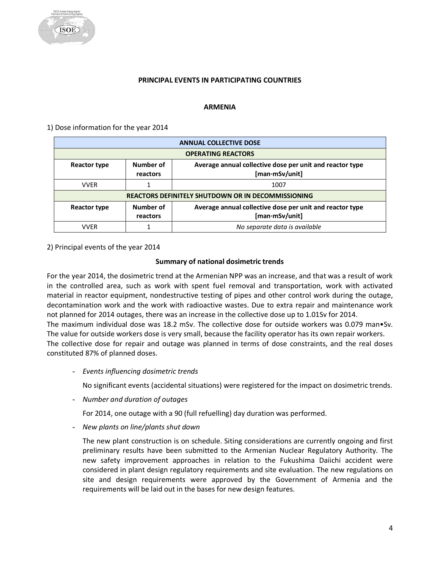

#### **PRINCIPAL EVENTS IN PARTICIPATING COUNTRIES**

#### **ARMENIA**

<span id="page-4-1"></span><span id="page-4-0"></span>1) Dose information for the year 2014

|              | <b>ANNUAL COLLECTIVE DOSE</b>                                                                          |      |  |  |  |
|--------------|--------------------------------------------------------------------------------------------------------|------|--|--|--|
|              | <b>OPERATING REACTORS</b>                                                                              |      |  |  |  |
| Reactor type | Number of<br>Average annual collective dose per unit and reactor type<br>$[$ man·mSv/unit]<br>reactors |      |  |  |  |
| <b>VVFR</b>  |                                                                                                        | 1007 |  |  |  |
|              | <b>REACTORS DEFINITELY SHUTDOWN OR IN DECOMMISSIONING</b>                                              |      |  |  |  |
| Reactor type | Number of<br>Average annual collective dose per unit and reactor type<br>[man·mSv/unit]<br>reactors    |      |  |  |  |
| <b>VVFR</b>  | No separate data is available                                                                          |      |  |  |  |

2) Principal events of the year 2014

#### **Summary of national dosimetric trends**

For the year 2014, the dosimetric trend at the Armenian NPP was an increase, and that was a result of work in the controlled area, such as work with spent fuel removal and transportation, work with activated material in reactor equipment, nondestructive testing of pipes and other control work during the outage, decontamination work and the work with radioactive wastes. Due to extra repair and maintenance work not planned for 2014 outages, there was an increase in the collective dose up to 1.01Sv for 2014. The maximum individual dose was 18.2 mSv. The collective dose for outside workers was 0.079 man•Sv. The value for outside workers dose is very small, because the facility operator has its own repair workers. The collective dose for repair and outage was planned in terms of dose constraints, and the real doses constituted 87% of planned doses.

- *Events influencing dosimetric trends*

No significant events (accidental situations) were registered for the impact on dosimetric trends.

- *Number and duration of outages*

For 2014, one outage with a 90 (full refuelling) day duration was performed.

- *New plants on line/plants shut down*

The new plant construction is on schedule. Siting considerations are currently ongoing and first preliminary results have been submitted to the Armenian Nuclear Regulatory Authority. The new safety improvement approaches in relation to the Fukushima Daiichi accident were considered in plant design regulatory requirements and site evaluation. The new regulations on site and design requirements were approved by the Government of Armenia and the requirements will be laid out in the bases for new design features.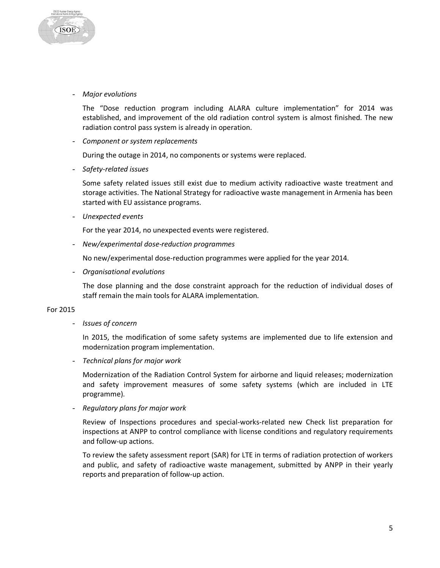

- *Major evolutions*

The "Dose reduction program including ALARA culture implementation" for 2014 was established, and improvement of the old radiation control system is almost finished. The new radiation control pass system is already in operation.

- *Component or system replacements*

During the outage in 2014, no components or systems were replaced.

- *Safety-related issues*

Some safety related issues still exist due to medium activity radioactive waste treatment and storage activities. The National Strategy for radioactive waste management in Armenia has been started with EU assistance programs.

- *Unexpected events*

For the year 2014, no unexpected events were registered.

- *New/experimental dose-reduction programmes*

No new/experimental dose-reduction programmes were applied for the year 2014.

- *Organisational evolutions*

The dose planning and the dose constraint approach for the reduction of individual doses of staff remain the main tools for ALARA implementation.

#### For 2015

- *Issues of concern*

In 2015, the modification of some safety systems are implemented due to life extension and modernization program implementation.

- *Technical plans for major work*

Modernization of the Radiation Control System for airborne and liquid releases; modernization and safety improvement measures of some safety systems (which are included in LTE programme).

- *Regulatory plans for major work*

Review of Inspections procedures and special-works-related new Check list preparation for inspections at ANPP to control compliance with license conditions and regulatory requirements and follow-up actions.

To review the safety assessment report (SAR) for LTE in terms of radiation protection of workers and public, and safety of radioactive waste management, submitted by ANPP in their yearly reports and preparation of follow-up action.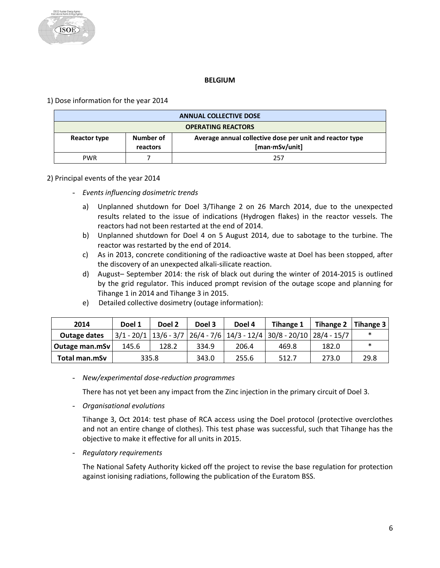# **BELGIUM**

<span id="page-6-0"></span>1) Dose information for the year 2014

| <b>ANNUAL COLLECTIVE DOSE</b>         |  |                                                                            |  |
|---------------------------------------|--|----------------------------------------------------------------------------|--|
| <b>OPERATING REACTORS</b>             |  |                                                                            |  |
| Number of<br>Reactor type<br>reactors |  | Average annual collective dose per unit and reactor type<br>[man·mSv/unit] |  |
| <b>PWR</b>                            |  | 257                                                                        |  |

# 2) Principal events of the year 2014

- *Events influencing dosimetric trends* 
	- a) Unplanned shutdown for Doel 3/Tihange 2 on 26 March 2014, due to the unexpected results related to the issue of indications (Hydrogen flakes) in the reactor vessels. The reactors had not been restarted at the end of 2014.
	- b) Unplanned shutdown for Doel 4 on 5 August 2014, due to sabotage to the turbine. The reactor was restarted by the end of 2014.
	- c) As in 2013, concrete conditioning of the radioactive waste at Doel has been stopped, after the discovery of an unexpected alkali-silicate reaction.
	- d) August– September 2014: the risk of black out during the winter of 2014-2015 is outlined by the grid regulator. This induced prompt revision of the outage scope and planning for Tihange 1 in 2014 and Tihange 3 in 2015.
	- e) Detailed collective dosimetry (outage information):

| 2014           | Doel 1 | Doel 2 | Doel 3 | Doel 4 | Tihange 1                                                                         | Tihange 2   Tihange 3 |        |
|----------------|--------|--------|--------|--------|-----------------------------------------------------------------------------------|-----------------------|--------|
| Outage dates   |        |        |        |        | $3/1$ - 20/1 $13/6$ - 3/7 $26/4$ - 7/6 $14/3$ - 12/4 $30/8$ - 20/10 $28/4$ - 15/7 |                       |        |
| Outage man.mSv | 145.6  | 128.2  | 334.9  | 206.4  | 469.8                                                                             | 182.0                 | $\ast$ |
| Total man.mSv  | 335.8  |        | 343.0  | 255.6  | 512.7                                                                             | 273.0                 | 29.8   |

- *New/experimental dose-reduction programmes*

There has not yet been any impact from the Zinc injection in the primary circuit of Doel 3.

- *Organisational evolutions*

Tihange 3, Oct 2014: test phase of RCA access using the Doel protocol (protective overclothes and not an entire change of clothes). This test phase was successful, such that Tihange has the objective to make it effective for all units in 2015.

- *Regulatory requirements*

The National Safety Authority kicked off the project to revise the base regulation for protection against ionising radiations, following the publication of the Euratom BSS.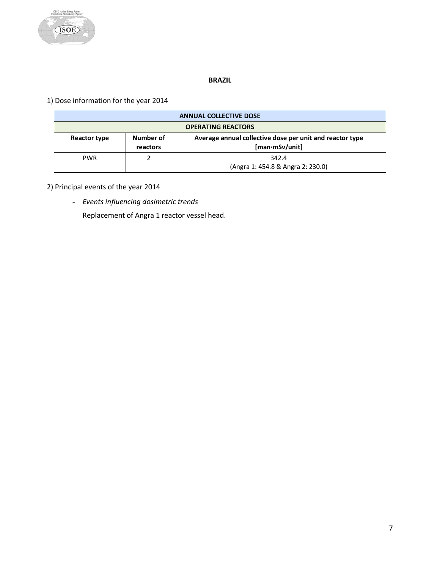

# **BRAZIL**

<span id="page-7-0"></span>1) Dose information for the year 2014

| <b>ANNUAL COLLECTIVE DOSE</b>                                                                                                     |  |                                            |  |
|-----------------------------------------------------------------------------------------------------------------------------------|--|--------------------------------------------|--|
| <b>OPERATING REACTORS</b>                                                                                                         |  |                                            |  |
| Number of<br>Average annual collective dose per unit and reactor type<br><b>Reactor type</b><br>$[man\cdot mSv/unit]$<br>reactors |  |                                            |  |
| <b>PWR</b>                                                                                                                        |  | 342.4<br>(Angra 1: 454.8 & Angra 2: 230.0) |  |

2) Principal events of the year 2014

- *Events influencing dosimetric trends* 

Replacement of Angra 1 reactor vessel head.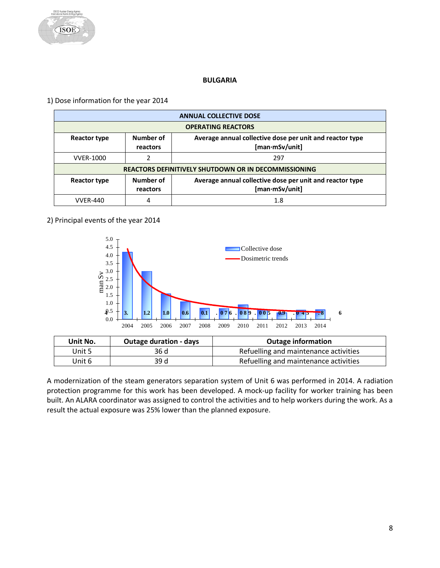

# **BULGARIA**

<span id="page-8-0"></span>1) Dose information for the year 2014

|                  | <b>ANNUAL COLLECTIVE DOSE</b>                                                                       |     |  |  |
|------------------|-----------------------------------------------------------------------------------------------------|-----|--|--|
|                  | <b>OPERATING REACTORS</b>                                                                           |     |  |  |
| Reactor type     | Number of<br>Average annual collective dose per unit and reactor type<br>[man·mSv/unit]<br>reactors |     |  |  |
| <b>VVER-1000</b> | າ                                                                                                   | 297 |  |  |
|                  | <b>REACTORS DEFINITIVELY SHUTDOWN OR IN DECOMMISSIONING</b>                                         |     |  |  |
| Reactor type     | Number of<br>Average annual collective dose per unit and reactor type<br>[man∙mSv/unit]<br>reactors |     |  |  |
| <b>VVFR-440</b>  | 4                                                                                                   | 1.8 |  |  |

# 2) Principal events of the year 2014



| Unit No. | <b>Outage duration - days</b> | <b>Outage information</b>             |
|----------|-------------------------------|---------------------------------------|
| Unit 5   | 36 d                          | Refuelling and maintenance activities |
| Unit 6   | 39 d                          | Refuelling and maintenance activities |

A modernization of the steam generators separation system of Unit 6 was performed in 2014. A radiation protection programme for this work has been developed. A mock-up facility for worker training has been built. An ALARA coordinator was assigned to control the activities and to help workers during the work. As a result the actual exposure was 25% lower than the planned exposure.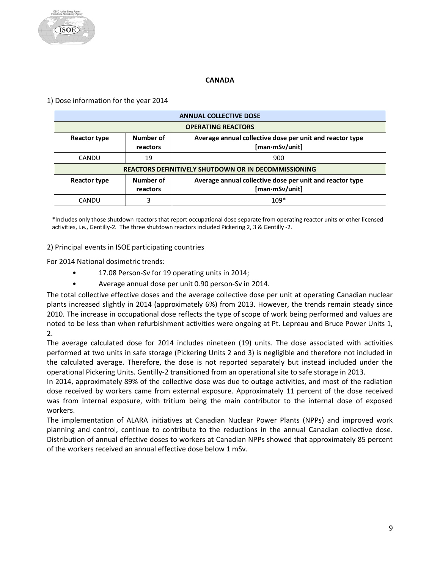# **CANADA**

<span id="page-9-0"></span>1) Dose information for the year 2014

| <b>ANNUAL COLLECTIVE DOSE</b>                                                                                              |                                                                                                     |        |  |  |
|----------------------------------------------------------------------------------------------------------------------------|-----------------------------------------------------------------------------------------------------|--------|--|--|
|                                                                                                                            | <b>OPERATING REACTORS</b>                                                                           |        |  |  |
| Number of<br>Average annual collective dose per unit and reactor type<br>Reactor type<br>$[man\cdot mSv/unit]$<br>reactors |                                                                                                     |        |  |  |
| CANDU                                                                                                                      | 19                                                                                                  | 900    |  |  |
|                                                                                                                            | <b>REACTORS DEFINITIVELY SHUTDOWN OR IN DECOMMISSIONING</b>                                         |        |  |  |
| Reactor type                                                                                                               | Number of<br>Average annual collective dose per unit and reactor type<br>[man∙mSv/unit]<br>reactors |        |  |  |
| CANDU                                                                                                                      |                                                                                                     | $109*$ |  |  |

\*Includes only those shutdown reactors that report occupational dose separate from operating reactor units or other licensed activities, i.e., Gentilly-2. The three shutdown reactors included Pickering 2, 3 & Gentilly -2.

2) Principal events in ISOE participating countries

For 2014 National dosimetric trends:

- 17.08 Person-Sv for 19 operating units in 2014;
- Average annual dose per unit 0.90 person-Sv in 2014.

The total collective effective doses and the average collective dose per unit at operating Canadian nuclear plants increased slightly in 2014 (approximately 6%) from 2013. However, the trends remain steady since 2010. The increase in occupational dose reflects the type of scope of work being performed and values are noted to be less than when refurbishment activities were ongoing at Pt. Lepreau and Bruce Power Units 1, 2.

The average calculated dose for 2014 includes nineteen (19) units. The dose associated with activities performed at two units in safe storage (Pickering Units 2 and 3) is negligible and therefore not included in the calculated average. Therefore, the dose is not reported separately but instead included under the operational Pickering Units. Gentilly-2 transitioned from an operational site to safe storage in 2013.

In 2014, approximately 89% of the collective dose was due to outage activities, and most of the radiation dose received by workers came from external exposure. Approximately 11 percent of the dose received was from internal exposure, with tritium being the main contributor to the internal dose of exposed workers.

The implementation of ALARA initiatives at Canadian Nuclear Power Plants (NPPs) and improved work planning and control, continue to contribute to the reductions in the annual Canadian collective dose. Distribution of annual effective doses to workers at Canadian NPPs showed that approximately 85 percent of the workers received an annual effective dose below 1 mSv.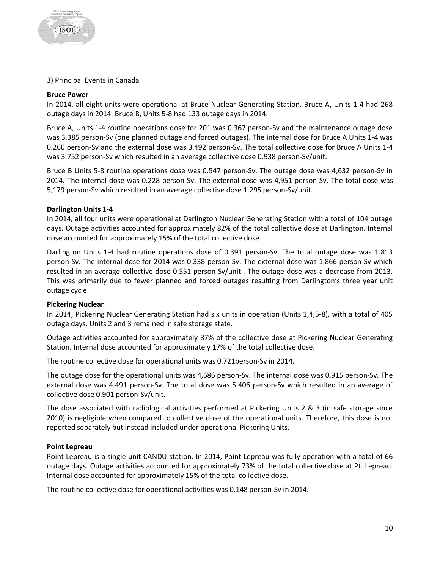#### 3) Principal Events in Canada

#### **Bruce Power**

In 2014, all eight units were operational at Bruce Nuclear Generating Station. Bruce A, Units 1-4 had 268 outage days in 2014. Bruce B, Units 5-8 had 133 outage days in 2014.

Bruce A, Units 1-4 routine operations dose for 201 was 0.367 person-Sv and the maintenance outage dose was 3.385 person-Sv (one planned outage and forced outages). The internal dose for Bruce A Units 1-4 was 0.260 person-Sv and the external dose was 3.492 person-Sv. The total collective dose for Bruce A Units 1-4 was 3.752 person-Sv which resulted in an average collective dose 0.938 person-Sv/unit.

Bruce B Units 5-8 routine operations dose was 0.547 person-Sv. The outage dose was 4,632 person-Sv in 2014. The internal dose was 0.228 person-Sv. The external dose was 4,951 person-Sv. The total dose was 5,179 person-Sv which resulted in an average collective dose 1.295 person-Sv/unit.

#### **Darlington Units 1-4**

In 2014, all four units were operational at Darlington Nuclear Generating Station with a total of 104 outage days. Outage activities accounted for approximately 82% of the total collective dose at Darlington. Internal dose accounted for approximately 15% of the total collective dose.

Darlington Units 1-4 had routine operations dose of 0.391 person-Sv. The total outage dose was 1.813 person-Sv. The internal dose for 2014 was 0.338 person-Sv. The external dose was 1.866 person-Sv which resulted in an average collective dose 0.551 person-Sv/unit.. The outage dose was a decrease from 2013. This was primarily due to fewer planned and forced outages resulting from Darlington's three year unit outage cycle.

#### **Pickering Nuclear**

In 2014, Pickering Nuclear Generating Station had six units in operation (Units 1,4,5-8), with a total of 405 outage days. Units 2 and 3 remained in safe storage state.

Outage activities accounted for approximately 87% of the collective dose at Pickering Nuclear Generating Station. Internal dose accounted for approximately 17% of the total collective dose.

The routine collective dose for operational units was 0.721person-Sv in 2014.

The outage dose for the operational units was 4,686 person-Sv. The internal dose was 0.915 person-Sv. The external dose was 4.491 person-Sv. The total dose was 5.406 person-Sv which resulted in an average of collective dose 0.901 person-Sv/unit.

The dose associated with radiological activities performed at Pickering Units 2 & 3 (in safe storage since 2010) is negligible when compared to collective dose of the operational units. Therefore, this dose is not reported separately but instead included under operational Pickering Units.

#### **Point Lepreau**

Point Lepreau is a single unit CANDU station. In 2014, Point Lepreau was fully operation with a total of 66 outage days. Outage activities accounted for approximately 73% of the total collective dose at Pt. Lepreau. Internal dose accounted for approximately 15% of the total collective dose.

The routine collective dose for operational activities was 0.148 person-Sv in 2014.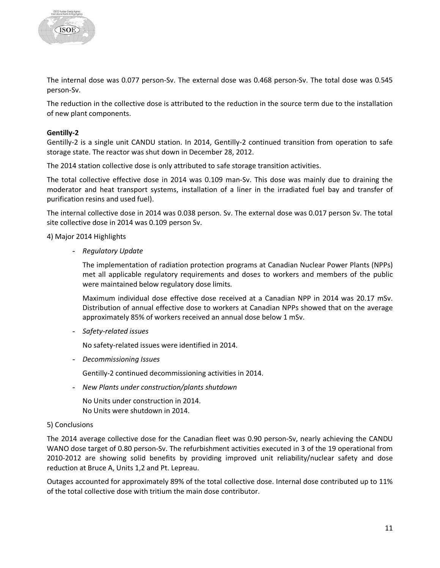

The internal dose was 0.077 person-Sv. The external dose was 0.468 person-Sv. The total dose was 0.545 person-Sv.

The reduction in the collective dose is attributed to the reduction in the source term due to the installation of new plant components.

#### **Gentilly-2**

Gentilly-2 is a single unit CANDU station. In 2014, Gentilly-2 continued transition from operation to safe storage state. The reactor was shut down in December 28, 2012.

The 2014 station collective dose is only attributed to safe storage transition activities.

The total collective effective dose in 2014 was 0.109 man-Sv. This dose was mainly due to draining the moderator and heat transport systems, installation of a liner in the irradiated fuel bay and transfer of purification resins and used fuel).

The internal collective dose in 2014 was 0.038 person. Sv. The external dose was 0.017 person Sv. The total site collective dose in 2014 was 0.109 person Sv.

4) Major 2014 Highlights

- *Regulatory Update*

The implementation of radiation protection programs at Canadian Nuclear Power Plants (NPPs) met all applicable regulatory requirements and doses to workers and members of the public were maintained below regulatory dose limits.

Maximum individual dose effective dose received at a Canadian NPP in 2014 was 20.17 mSv. Distribution of annual effective dose to workers at Canadian NPPs showed that on the average approximately 85% of workers received an annual dose below 1 mSv.

- *Safety-related issues*

No safety-related issues were identified in 2014.

- *Decommissioning Issues*

Gentilly-2 continued decommissioning activities in 2014.

- *New Plants under construction/plants shutdown*

No Units under construction in 2014. No Units were shutdown in 2014.

# 5) Conclusions

The 2014 average collective dose for the Canadian fleet was 0.90 person-Sv, nearly achieving the CANDU WANO dose target of 0.80 person-Sv. The refurbishment activities executed in 3 of the 19 operational from 2010-2012 are showing solid benefits by providing improved unit reliability/nuclear safety and dose reduction at Bruce A, Units 1,2 and Pt. Lepreau.

Outages accounted for approximately 89% of the total collective dose. Internal dose contributed up to 11% of the total collective dose with tritium the main dose contributor.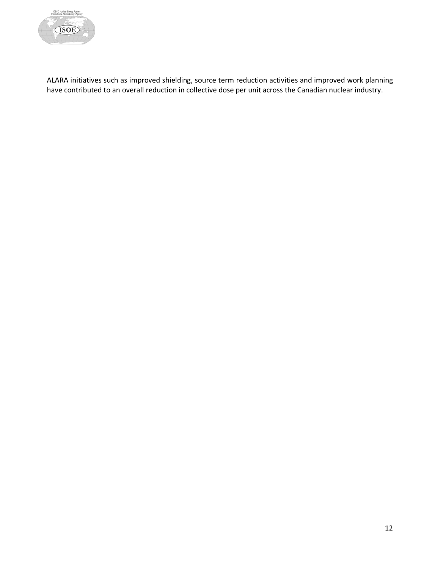

ALARA initiatives such as improved shielding, source term reduction activities and improved work planning have contributed to an overall reduction in collective dose per unit across the Canadian nuclear industry.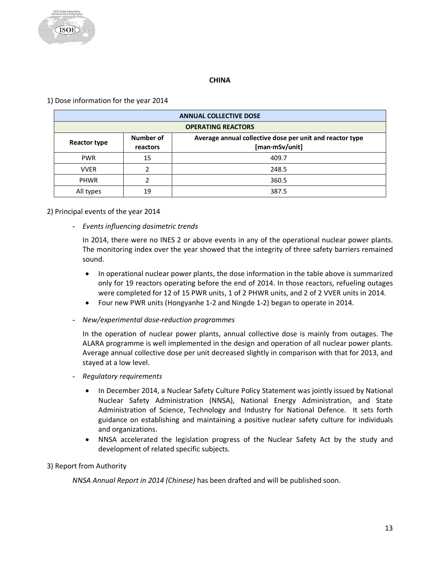

# **CHINA**

# <span id="page-13-0"></span>1) Dose information for the year 2014

| <b>ANNUAL COLLECTIVE DOSE</b>                                                                                       |                           |       |  |  |
|---------------------------------------------------------------------------------------------------------------------|---------------------------|-------|--|--|
|                                                                                                                     | <b>OPERATING REACTORS</b> |       |  |  |
| Number of<br>Average annual collective dose per unit and reactor type<br>Reactor type<br>[man·mSv/unit]<br>reactors |                           |       |  |  |
| <b>PWR</b>                                                                                                          | 15                        | 409.7 |  |  |
| <b>VVER</b>                                                                                                         |                           | 248.5 |  |  |
| <b>PHWR</b>                                                                                                         |                           | 360.5 |  |  |
| All types                                                                                                           | 19                        | 387.5 |  |  |

#### 2) Principal events of the year 2014

- *Events influencing dosimetric trends*

In 2014, there were no INES 2 or above events in any of the operational nuclear power plants. The monitoring index over the year showed that the integrity of three safety barriers remained sound.

- In operational nuclear power plants, the dose information in the table above is summarized only for 19 reactors operating before the end of 2014. In those reactors, refueling outages were completed for 12 of 15 PWR units, 1 of 2 PHWR units, and 2 of 2 VVER units in 2014.
- Four new PWR units (Hongyanhe 1-2 and Ningde 1-2) began to operate in 2014.
- *New/experimental dose-reduction programmes*

In the operation of nuclear power plants, annual collective dose is mainly from outages. The ALARA programme is well implemented in the design and operation of all nuclear power plants. Average annual collective dose per unit decreased slightly in comparison with that for 2013, and stayed at a low level.

- *Regulatory requirements*
	- In December 2014, a Nuclear Safety Culture Policy Statement was jointly issued by National Nuclear Safety Administration (NNSA), National Energy Administration, and State Administration of Science, Technology and Industry for National Defence. It sets forth guidance on establishing and maintaining a positive nuclear safety culture for individuals and organizations.
	- NNSA accelerated the legislation progress of the Nuclear Safety Act by the study and development of related specific subjects.

#### 3) Report from Authority

*NNSA Annual Report in 2014 (Chinese)* has been drafted and will be published soon.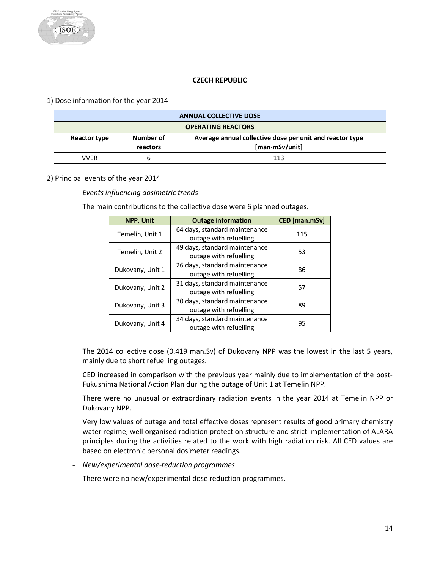# **CZECH REPUBLIC**

<span id="page-14-0"></span>1) Dose information for the year 2014

| <b>ANNUAL COLLECTIVE DOSE</b>                                                                                       |   |     |  |
|---------------------------------------------------------------------------------------------------------------------|---|-----|--|
| <b>OPERATING REACTORS</b>                                                                                           |   |     |  |
| Average annual collective dose per unit and reactor type<br>Number of<br>Reactor type<br>[man·mSv/unit]<br>reactors |   |     |  |
| VVFR                                                                                                                | h | 113 |  |

# 2) Principal events of the year 2014

- *Events influencing dosimetric trends*

The main contributions to the collective dose were 6 planned outages.

| <b>NPP, Unit</b> | <b>Outage information</b>                               | CED [man.mSv] |
|------------------|---------------------------------------------------------|---------------|
| Temelin, Unit 1  | 64 days, standard maintenance<br>outage with refuelling | 115           |
| Temelin, Unit 2  | 49 days, standard maintenance<br>outage with refuelling | 53            |
| Dukovany, Unit 1 | 26 days, standard maintenance<br>outage with refuelling | 86            |
| Dukovany, Unit 2 | 31 days, standard maintenance<br>outage with refuelling | 57            |
| Dukovany, Unit 3 | 30 days, standard maintenance<br>outage with refuelling | 89            |
| Dukovany, Unit 4 | 34 days, standard maintenance<br>outage with refuelling | 95            |

The 2014 collective dose (0.419 man.Sv) of Dukovany NPP was the lowest in the last 5 years, mainly due to short refuelling outages.

CED increased in comparison with the previous year mainly due to implementation of the post-Fukushima National Action Plan during the outage of Unit 1 at Temelin NPP.

There were no unusual or extraordinary radiation events in the year 2014 at Temelin NPP or Dukovany NPP.

Very low values of outage and total effective doses represent results of good primary chemistry water regime, well organised radiation protection structure and strict implementation of ALARA principles during the activities related to the work with high radiation risk. All CED values are based on electronic personal dosimeter readings.

- *New/experimental dose-reduction programmes*

There were no new/experimental dose reduction programmes.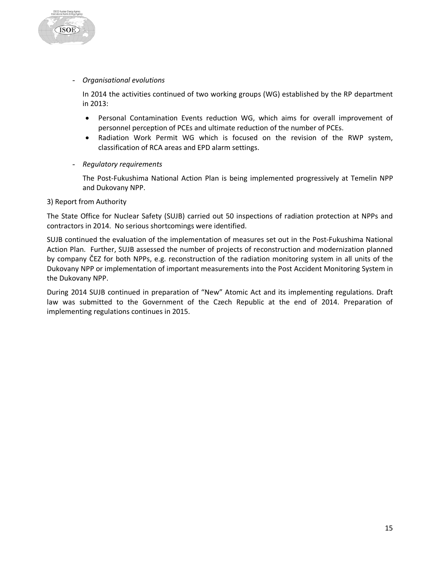

In 2014 the activities continued of two working groups (WG) established by the RP department in 2013:

- Personal Contamination Events reduction WG, which aims for overall improvement of personnel perception of PCEs and ultimate reduction of the number of PCEs.
- Radiation Work Permit WG which is focused on the revision of the RWP system, classification of RCA areas and EPD alarm settings.
- *Regulatory requirements*

The Post-Fukushima National Action Plan is being implemented progressively at Temelin NPP and Dukovany NPP.

#### 3) Report from Authority

**ISOE** 

The State Office for Nuclear Safety (SUJB) carried out 50 inspections of radiation protection at NPPs and contractors in 2014. No serious shortcomings were identified.

SUJB continued the evaluation of the implementation of measures set out in the Post-Fukushima National Action Plan. Further, SUJB assessed the number of projects of reconstruction and modernization planned by company ČEZ for both NPPs, e.g. reconstruction of the radiation monitoring system in all units of the Dukovany NPP or implementation of important measurements into the Post Accident Monitoring System in the Dukovany NPP.

During 2014 SUJB continued in preparation of "New" Atomic Act and its implementing regulations. Draft law was submitted to the Government of the Czech Republic at the end of 2014. Preparation of implementing regulations continues in 2015.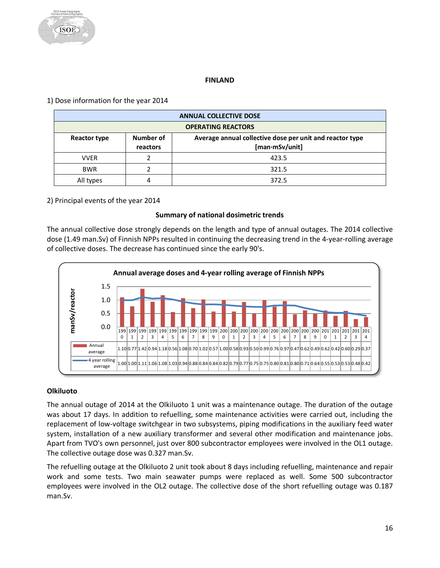# **FINLAND**

# <span id="page-16-0"></span>1) Dose information for the year 2014

|                                                                                                                     | <b>ANNUAL COLLECTIVE DOSE</b> |       |  |  |
|---------------------------------------------------------------------------------------------------------------------|-------------------------------|-------|--|--|
|                                                                                                                     | <b>OPERATING REACTORS</b>     |       |  |  |
| Number of<br>Average annual collective dose per unit and reactor type<br>Reactor type<br>[man·mSv/unit]<br>reactors |                               |       |  |  |
| <b>VVER</b>                                                                                                         |                               | 423.5 |  |  |
| <b>BWR</b>                                                                                                          |                               | 321.5 |  |  |
| All types                                                                                                           |                               | 372.5 |  |  |

# 2) Principal events of the year 2014

# **Summary of national dosimetric trends**

The annual collective dose strongly depends on the length and type of annual outages. The 2014 collective dose (1.49 man.Sv) of Finnish NPPs resulted in continuing the decreasing trend in the 4-year-rolling average of collective doses. The decrease has continued since the early 90's.



# **Olkiluoto**

The annual outage of 2014 at the Olkiluoto 1 unit was a maintenance outage. The duration of the outage was about 17 days. In addition to refuelling, some maintenance activities were carried out, including the replacement of low-voltage switchgear in two subsystems, piping modifications in the auxiliary feed water system, installation of a new auxiliary transformer and several other modification and maintenance jobs. Apart from TVO's own personnel, just over 800 subcontractor employees were involved in the OL1 outage. The collective outage dose was 0.327 man.Sv.

The refuelling outage at the Olkiluoto 2 unit took about 8 days including refuelling, maintenance and repair work and some tests. Two main seawater pumps were replaced as well. Some 500 subcontractor employees were involved in the OL2 outage. The collective dose of the short refuelling outage was 0.187 man.Sv.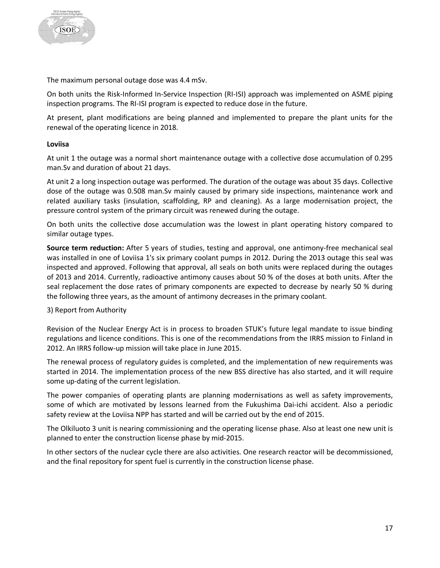

The maximum personal outage dose was 4.4 mSv.

On both units the Risk-Informed In-Service Inspection (RI-ISI) approach was implemented on ASME piping inspection programs. The RI-ISI program is expected to reduce dose in the future.

At present, plant modifications are being planned and implemented to prepare the plant units for the renewal of the operating licence in 2018.

#### **Loviisa**

At unit 1 the outage was a normal short maintenance outage with a collective dose accumulation of 0.295 man.Sv and duration of about 21 days.

At unit 2 a long inspection outage was performed. The duration of the outage was about 35 days. Collective dose of the outage was 0.508 man.Sv mainly caused by primary side inspections, maintenance work and related auxiliary tasks (insulation, scaffolding, RP and cleaning). As a large modernisation project, the pressure control system of the primary circuit was renewed during the outage.

On both units the collective dose accumulation was the lowest in plant operating history compared to similar outage types.

**Source term reduction:** After 5 years of studies, testing and approval, one antimony-free mechanical seal was installed in one of Loviisa 1's six primary coolant pumps in 2012. During the 2013 outage this seal was inspected and approved. Following that approval, all seals on both units were replaced during the outages of 2013 and 2014. Currently, radioactive antimony causes about 50 % of the doses at both units. After the seal replacement the dose rates of primary components are expected to decrease by nearly 50 % during the following three years, as the amount of antimony decreases in the primary coolant.

#### 3) Report from Authority

Revision of the Nuclear Energy Act is in process to broaden STUK's future legal mandate to issue binding regulations and licence conditions. This is one of the recommendations from the IRRS mission to Finland in 2012. An IRRS follow-up mission will take place in June 2015.

The renewal process of regulatory guides is completed, and the implementation of new requirements was started in 2014. The implementation process of the new BSS directive has also started, and it will require some up-dating of the current legislation.

The power companies of operating plants are planning modernisations as well as safety improvements, some of which are motivated by lessons learned from the Fukushima Dai-ichi accident. Also a periodic safety review at the Loviisa NPP has started and will be carried out by the end of 2015.

The Olkiluoto 3 unit is nearing commissioning and the operating license phase. Also at least one new unit is planned to enter the construction license phase by mid-2015.

In other sectors of the nuclear cycle there are also activities. One research reactor will be decommissioned, and the final repository for spent fuel is currently in the construction license phase.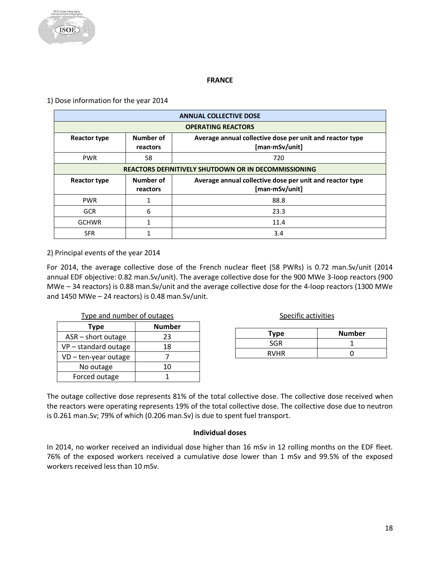

#### **FRANCE**

<span id="page-18-0"></span>1) Dose information for the year 2014

| <b>ANNUAL COLLECTIVE DOSE</b>                           |                       |                                                                            |  |  |
|---------------------------------------------------------|-----------------------|----------------------------------------------------------------------------|--|--|
| <b>OPERATING REACTORS</b>                               |                       |                                                                            |  |  |
| <b>Reactor type</b>                                     | Number of<br>reactors | Average annual collective dose per unit and reactor type<br>[man·mSv/unit] |  |  |
| <b>PWR</b>                                              | 58                    | 720                                                                        |  |  |
|                                                         |                       | <b>REACTORS DEFINITIVELY SHUTDOWN OR IN DECOMMISSIONING</b>                |  |  |
| Number of<br>Reactor type<br>[man·mSv/unit]<br>reactors |                       |                                                                            |  |  |
|                                                         |                       | Average annual collective dose per unit and reactor type                   |  |  |
| <b>PWR</b>                                              |                       | 88.8                                                                       |  |  |
| <b>GCR</b>                                              | 6                     | 23.3                                                                       |  |  |
| <b>GCHWR</b>                                            |                       | 11.4                                                                       |  |  |

2) Principal events of the year 2014

For 2014, the average collective dose of the French nuclear fleet (58 PWRs) is 0.72 man.Sv/unit (2014 annual EDF objective: 0.82 man.Sv/unit). The average collective dose for the 900 MWe 3-loop reactors (900 MWe – 34 reactors) is 0.88 man.Sv/unit and the average collective dose for the 4-loop reactors (1300 MWe and  $1450$  MWe – 24 reactors) is 0.48 man.Sv/unit.

| Type and number of outages |               | Specific activities |
|----------------------------|---------------|---------------------|
| Type                       | <b>Number</b> |                     |
| ASR - short outage         | 23            | <b>Type</b>         |
| VP-standard outage         | 18            | <b>SGR</b>          |
| $VD - ten-year outage$     |               | <b>RVHR</b>         |
| No outage                  |               |                     |
| Forced outage              |               |                     |

| Type        | <b>Number</b> |
|-------------|---------------|
| SGR         |               |
| <b>RVHR</b> |               |

The outage collective dose represents 81% of the total collective dose. The collective dose received when the reactors were operating represents 19% of the total collective dose. The collective dose due to neutron is 0.261 man.Sv; 79% of which (0.206 man.Sv) is due to spent fuel transport.

#### **Individual doses**

In 2014, no worker received an individual dose higher than 16 mSv in 12 rolling months on the EDF fleet. 76% of the exposed workers received a cumulative dose lower than 1 mSv and 99.5% of the exposed workers received less than 10 mSv.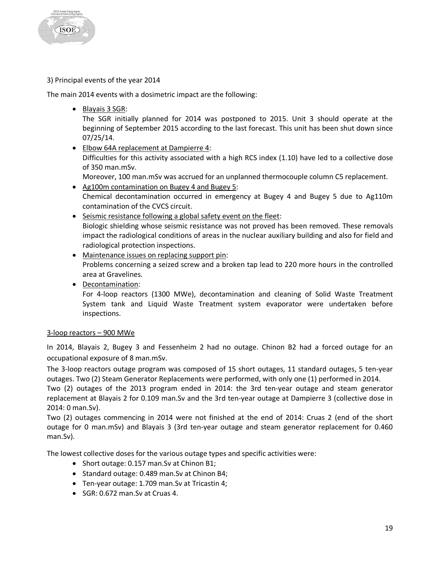**TSOE** 

# 3) Principal events of the year 2014

The main 2014 events with a dosimetric impact are the following:

• Blayais 3 SGR:

The SGR initially planned for 2014 was postponed to 2015. Unit 3 should operate at the beginning of September 2015 according to the last forecast. This unit has been shut down since 07/25/14.

• Elbow 64A replacement at Dampierre 4: Difficulties for this activity associated with a high RCS index (1.10) have led to a collective dose of 350 man.mSv.

Moreover, 100 man.mSv was accrued for an unplanned thermocouple column C5 replacement.

- Ag100m contamination on Bugey 4 and Bugey 5: Chemical decontamination occurred in emergency at Bugey 4 and Bugey 5 due to Ag110m contamination of the CVCS circuit.
- Seismic resistance following a global safety event on the fleet: Biologic shielding whose seismic resistance was not proved has been removed. These removals impact the radiological conditions of areas in the nuclear auxiliary building and also for field and radiological protection inspections.
- Maintenance issues on replacing support pin: Problems concerning a seized screw and a broken tap lead to 220 more hours in the controlled area at Gravelines.
- Decontamination:

For 4-loop reactors (1300 MWe), decontamination and cleaning of Solid Waste Treatment System tank and Liquid Waste Treatment system evaporator were undertaken before inspections.

# 3-loop reactors – 900 MWe

In 2014, Blayais 2, Bugey 3 and Fessenheim 2 had no outage. Chinon B2 had a forced outage for an occupational exposure of 8 man.mSv.

The 3-loop reactors outage program was composed of 15 short outages, 11 standard outages, 5 ten-year outages. Two (2) Steam Generator Replacements were performed, with only one (1) performed in 2014.

Two (2) outages of the 2013 program ended in 2014: the 3rd ten-year outage and steam generator replacement at Blayais 2 for 0.109 man.Sv and the 3rd ten-year outage at Dampierre 3 (collective dose in 2014: 0 man.Sv).

Two (2) outages commencing in 2014 were not finished at the end of 2014: Cruas 2 (end of the short outage for 0 man.mSv) and Blayais 3 (3rd ten-year outage and steam generator replacement for 0.460 man.Sv).

The lowest collective doses for the various outage types and specific activities were:

- Short outage: 0.157 man. Sv at Chinon B1;
- Standard outage: 0.489 man.Sv at Chinon B4;
- Ten-year outage: 1.709 man.Sv at Tricastin 4;
- SGR: 0.672 man.Sv at Cruas 4.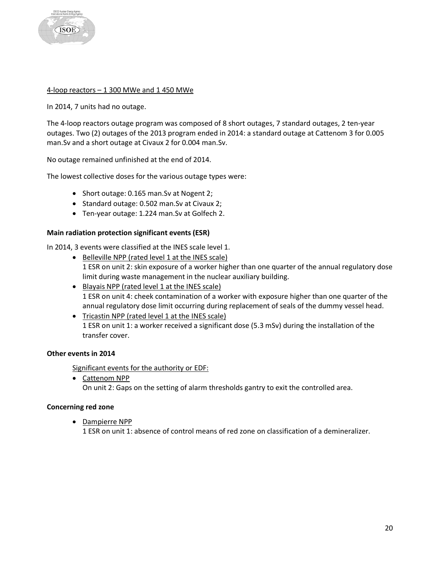

#### 4-loop reactors – 1 300 MWe and 1 450 MWe

In 2014, 7 units had no outage.

The 4-loop reactors outage program was composed of 8 short outages, 7 standard outages, 2 ten-year outages. Two (2) outages of the 2013 program ended in 2014: a standard outage at Cattenom 3 for 0.005 man.Sv and a short outage at Civaux 2 for 0.004 man.Sv.

No outage remained unfinished at the end of 2014.

The lowest collective doses for the various outage types were:

- Short outage: 0.165 man.Sv at Nogent 2;
- Standard outage: 0.502 man.Sv at Civaux 2;
- Ten-year outage: 1.224 man.Sv at Golfech 2.

#### **Main radiation protection significant events (ESR)**

In 2014, 3 events were classified at the INES scale level 1.

- Belleville NPP (rated level 1 at the INES scale) 1 ESR on unit 2: skin exposure of a worker higher than one quarter of the annual regulatory dose limit during waste management in the nuclear auxiliary building.
- Blayais NPP (rated level 1 at the INES scale) 1 ESR on unit 4: cheek contamination of a worker with exposure higher than one quarter of the annual regulatory dose limit occurring during replacement of seals of the dummy vessel head.
- Tricastin NPP (rated level 1 at the INES scale) 1 ESR on unit 1: a worker received a significant dose (5.3 mSv) during the installation of the transfer cover.

# **Other events in 2014**

Significant events for the authority or EDF:

• Cattenom NPP On unit 2: Gaps on the setting of alarm thresholds gantry to exit the controlled area.

#### **Concerning red zone**

• Dampierre NPP

1 ESR on unit 1: absence of control means of red zone on classification of a demineralizer.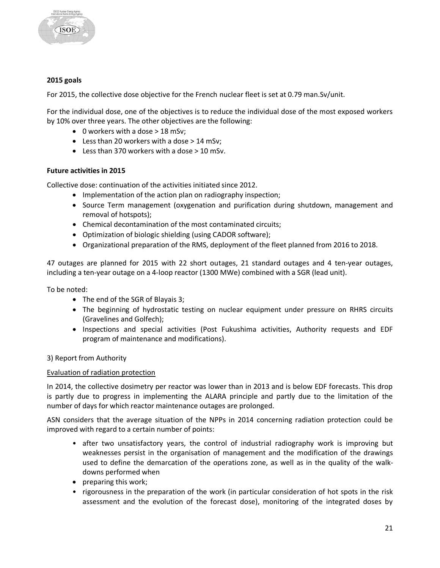

#### **2015 goals**

For 2015, the collective dose objective for the French nuclear fleet is set at 0.79 man.Sv/unit.

For the individual dose, one of the objectives is to reduce the individual dose of the most exposed workers by 10% over three years. The other objectives are the following:

- 0 workers with a dose > 18 mSv;
- Less than 20 workers with a dose > 14 mSv;
- Less than 370 workers with a dose > 10 mSv.

#### **Future activities in 2015**

Collective dose: continuation of the activities initiated since 2012.

- Implementation of the action plan on radiography inspection;
- Source Term management (oxygenation and purification during shutdown, management and removal of hotspots);
- Chemical decontamination of the most contaminated circuits;
- Optimization of biologic shielding (using CADOR software);
- Organizational preparation of the RMS, deployment of the fleet planned from 2016 to 2018.

47 outages are planned for 2015 with 22 short outages, 21 standard outages and 4 ten-year outages, including a ten-year outage on a 4-loop reactor (1300 MWe) combined with a SGR (lead unit).

To be noted:

- The end of the SGR of Blayais 3;
- The beginning of hydrostatic testing on nuclear equipment under pressure on RHRS circuits (Gravelines and Golfech);
- Inspections and special activities (Post Fukushima activities, Authority requests and EDF program of maintenance and modifications).

#### 3) Report from Authority

#### Evaluation of radiation protection

In 2014, the collective dosimetry per reactor was lower than in 2013 and is below EDF forecasts. This drop is partly due to progress in implementing the ALARA principle and partly due to the limitation of the number of days for which reactor maintenance outages are prolonged.

ASN considers that the average situation of the NPPs in 2014 concerning radiation protection could be improved with regard to a certain number of points:

- after two unsatisfactory years, the control of industrial radiography work is improving but weaknesses persist in the organisation of management and the modification of the drawings used to define the demarcation of the operations zone, as well as in the quality of the walkdowns performed when
- preparing this work;
- rigorousness in the preparation of the work (in particular consideration of hot spots in the risk assessment and the evolution of the forecast dose), monitoring of the integrated doses by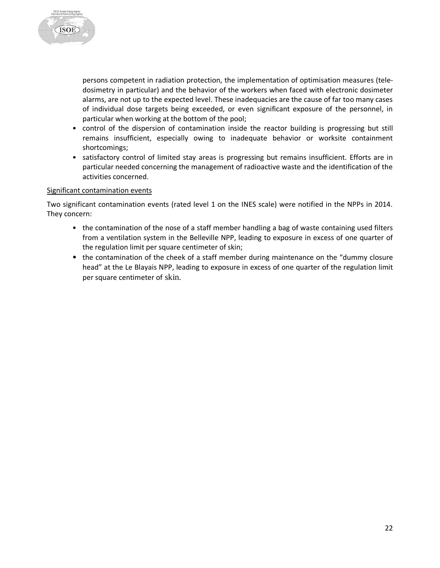

persons competent in radiation protection, the implementation of optimisation measures (teledosimetry in particular) and the behavior of the workers when faced with electronic dosimeter alarms, are not up to the expected level. These inadequacies are the cause of far too many cases of individual dose targets being exceeded, or even significant exposure of the personnel, in particular when working at the bottom of the pool;

- control of the dispersion of contamination inside the reactor building is progressing but still remains insufficient, especially owing to inadequate behavior or worksite containment shortcomings;
- satisfactory control of limited stay areas is progressing but remains insufficient. Efforts are in particular needed concerning the management of radioactive waste and the identification of the activities concerned.

#### Significant contamination events

Two significant contamination events (rated level 1 on the INES scale) were notified in the NPPs in 2014. They concern:

- the contamination of the nose of a staff member handling a bag of waste containing used filters from a ventilation system in the Belleville NPP, leading to exposure in excess of one quarter of the regulation limit per square centimeter of skin;
- the contamination of the cheek of a staff member during maintenance on the "dummy closure" head" at the Le Blayais NPP, leading to exposure in excess of one quarter of the regulation limit per square centimeter of skin.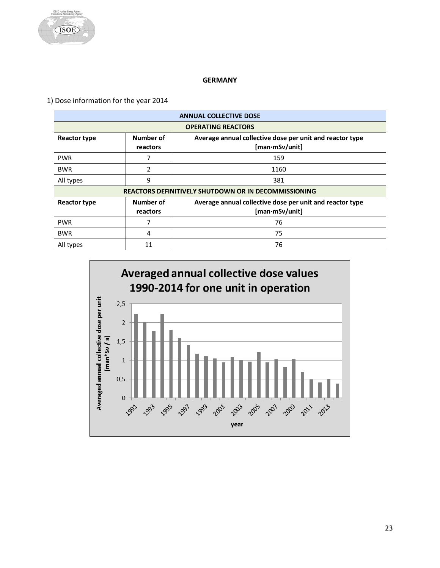

#### **GERMANY**

<span id="page-23-0"></span>1) Dose information for the year 2014

| <b>ANNUAL COLLECTIVE DOSE</b> |                       |                                                                            |  |
|-------------------------------|-----------------------|----------------------------------------------------------------------------|--|
| <b>OPERATING REACTORS</b>     |                       |                                                                            |  |
| <b>Reactor type</b>           | Number of<br>reactors | Average annual collective dose per unit and reactor type<br>[man·mSv/unit] |  |
| <b>PWR</b>                    |                       | 159                                                                        |  |
| <b>BWR</b>                    | $\mathfrak z$         | 1160                                                                       |  |
| All types                     | 9                     | 381                                                                        |  |
|                               |                       | <b>REACTORS DEFINITIVELY SHUTDOWN OR IN DECOMMISSIONING</b>                |  |
| <b>Reactor type</b>           | Number of<br>reactors | Average annual collective dose per unit and reactor type<br>[man·mSv/unit] |  |
| <b>PWR</b>                    |                       | 76                                                                         |  |
| <b>BWR</b>                    | 4                     | 75                                                                         |  |
| All types                     | 11                    | 76                                                                         |  |

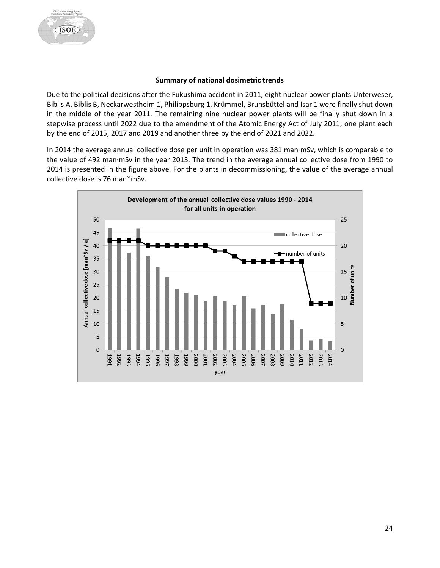#### **Summary of national dosimetric trends**

Due to the political decisions after the Fukushima accident in 2011, eight nuclear power plants Unterweser, Biblis A, Biblis B, Neckarwestheim 1, Philippsburg 1, Krümmel, Brunsbüttel and Isar 1 were finally shut down in the middle of the year 2011. The remaining nine nuclear power plants will be finally shut down in a stepwise process until 2022 due to the amendment of the Atomic Energy Act of July 2011; one plant each by the end of 2015, 2017 and 2019 and another three by the end of 2021 and 2022.

In 2014 the average annual collective dose per unit in operation was 381 man·mSv, which is comparable to the value of 492 man·mSv in the year 2013. The trend in the average annual collective dose from 1990 to 2014 is presented in the figure above. For the plants in decommissioning, the value of the average annual collective dose is 76 man\*mSv.

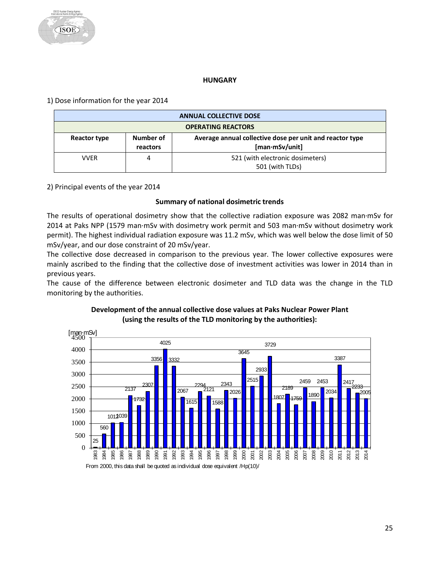#### **HUNGARY**

<span id="page-25-0"></span>1) Dose information for the year 2014

| <b>ANNUAL COLLECTIVE DOSE</b> |                       |                                                                                   |  |
|-------------------------------|-----------------------|-----------------------------------------------------------------------------------|--|
| <b>OPERATING REACTORS</b>     |                       |                                                                                   |  |
| Reactor type                  | Number of<br>reactors | Average annual collective dose per unit and reactor type<br>$[man\cdot mSv/unit]$ |  |
| <b>VVER</b>                   | 4                     | 521 (with electronic dosimeters)<br>501 (with TLDs)                               |  |

2) Principal events of the year 2014

# **Summary of national dosimetric trends**

The results of operational dosimetry show that the collective radiation exposure was 2082 man·mSv for 2014 at Paks NPP (1579 man·mSv with dosimetry work permit and 503 man·mSv without dosimetry work permit). The highest individual radiation exposure was 11.2 mSv, which was well below the dose limit of 50 mSv/year, and our dose constraint of 20 mSv/year.

The collective dose decreased in comparison to the previous year. The lower collective exposures were mainly ascribed to the finding that the collective dose of investment activities was lower in 2014 than in previous years.

The cause of the difference between electronic dosimeter and TLD data was the change in the TLD monitoring by the authorities.



# **Development of the annual collective dose values at Paks Nuclear Power Plant (using the results of the TLD monitoring by the authorities):**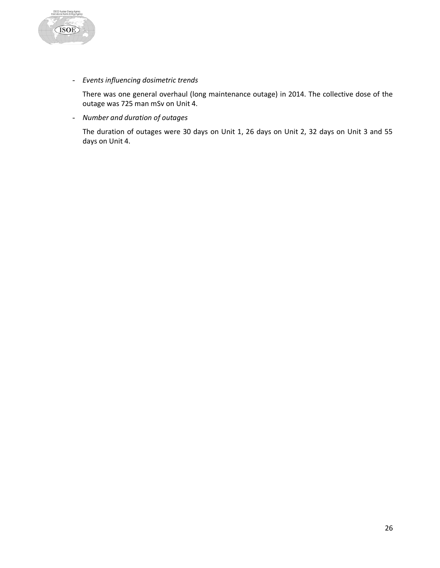

- *Events influencing dosimetric trends*

There was one general overhaul (long maintenance outage) in 2014. The collective dose of the outage was 725 man mSv on Unit 4.

- *Number and duration of outages*

The duration of outages were 30 days on Unit 1, 26 days on Unit 2, 32 days on Unit 3 and 55 days on Unit 4.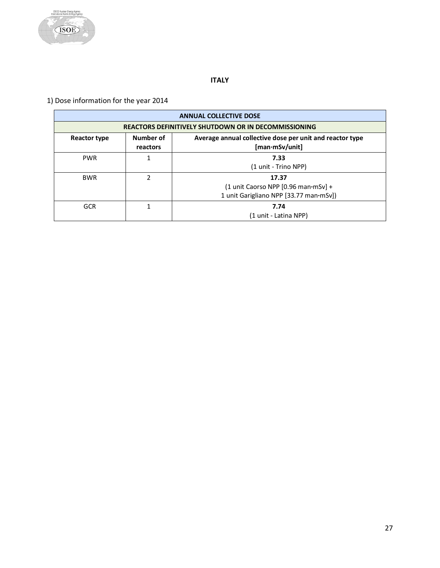

# **ITALY**

# <span id="page-27-0"></span>1) Dose information for the year 2014

|                                                                                                                            | <b>ANNUAL COLLECTIVE DOSE</b><br><b>REACTORS DEFINITIVELY SHUTDOWN OR IN DECOMMISSIONING</b> |                                                                                        |  |  |
|----------------------------------------------------------------------------------------------------------------------------|----------------------------------------------------------------------------------------------|----------------------------------------------------------------------------------------|--|--|
|                                                                                                                            |                                                                                              |                                                                                        |  |  |
| Number of<br>Average annual collective dose per unit and reactor type<br>Reactor type<br>$[man\cdot mSv/unit]$<br>reactors |                                                                                              |                                                                                        |  |  |
| <b>PWR</b>                                                                                                                 |                                                                                              | 7.33<br>(1 unit - Trino NPP)                                                           |  |  |
| <b>BWR</b>                                                                                                                 | 2                                                                                            | 17.37<br>(1 unit Caorso NPP [0.96 man mSv] +<br>1 unit Garigliano NPP [33.77 man·mSv]) |  |  |
| <b>GCR</b>                                                                                                                 |                                                                                              | 7.74<br>(1 unit - Latina NPP)                                                          |  |  |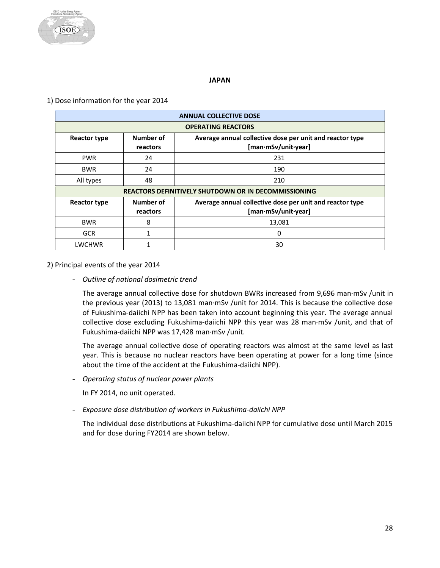

#### **JAPAN**

#### <span id="page-28-0"></span>1) Dose information for the year 2014

| <b>ANNUAL COLLECTIVE DOSE</b> |                                                                                                          |                                                                                 |  |  |
|-------------------------------|----------------------------------------------------------------------------------------------------------|---------------------------------------------------------------------------------|--|--|
| <b>OPERATING REACTORS</b>     |                                                                                                          |                                                                                 |  |  |
| <b>Reactor type</b>           | Number of<br>Average annual collective dose per unit and reactor type<br>[man·mSv/unit·year]<br>reactors |                                                                                 |  |  |
| <b>PWR</b>                    | 24                                                                                                       | 231                                                                             |  |  |
| <b>BWR</b>                    | 24                                                                                                       | 190                                                                             |  |  |
| All types                     | 48                                                                                                       | 210                                                                             |  |  |
|                               |                                                                                                          | <b>REACTORS DEFINITIVELY SHUTDOWN OR IN DECOMMISSIONING</b>                     |  |  |
| <b>Reactor type</b>           | Number of<br>reactors                                                                                    | Average annual collective dose per unit and reactor type<br>[man·mSv/unit·year] |  |  |
| <b>BWR</b>                    | 8                                                                                                        | 13,081                                                                          |  |  |
| <b>GCR</b>                    |                                                                                                          | 0                                                                               |  |  |
| LWCHWR                        |                                                                                                          | 30                                                                              |  |  |

#### 2) Principal events of the year 2014

- *Outline of national dosimetric trend*

The average annual collective dose for shutdown BWRs increased from 9,696 man·mSv /unit in the previous year (2013) to 13,081 man·mSv /unit for 2014. This is because the collective dose of Fukushima-daiichi NPP has been taken into account beginning this year. The average annual collective dose excluding Fukushima-daiichi NPP this year was 28 man·mSv /unit, and that of Fukushima-daiichi NPP was 17,428 man·mSv /unit.

The average annual collective dose of operating reactors was almost at the same level as last year. This is because no nuclear reactors have been operating at power for a long time (since about the time of the accident at the Fukushima-daiichi NPP).

- *Operating status of nuclear power plants*

In FY 2014, no unit operated.

- *Exposure dose distribution of workers in Fukushima-daiichi NPP*

The individual dose distributions at Fukushima-daiichi NPP for cumulative dose until March 2015 and for dose during FY2014 are shown below.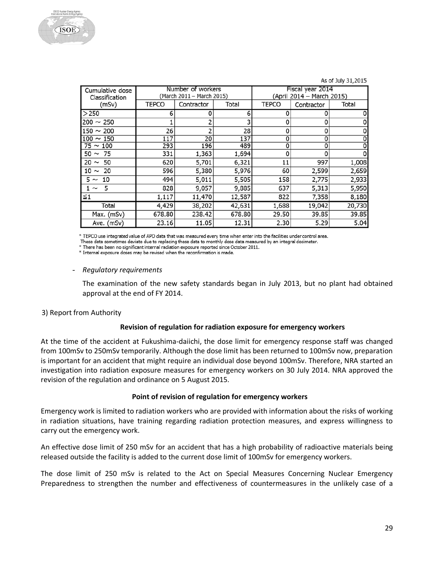#### As of July 31,2015

| Cumulative dose<br>Classification | Number of workers<br>(March 2011 – March 2015) |            |        | Fiscal year 2014<br>(April 2014 - March 2015) |            |        |
|-----------------------------------|------------------------------------------------|------------|--------|-----------------------------------------------|------------|--------|
| (mSv)                             | <b>TEPCO</b>                                   | Contractor | Total  | <b>TEPCO</b>                                  | Contractor | Total  |
| >250                              | 6                                              |            | 6      | 0                                             | 0          |        |
| $200 \sim 250$                    |                                                |            |        | 0                                             | 0          |        |
| $150 \sim 200$                    | 26                                             |            | 28     | 0                                             | 0          |        |
| $100 \sim 150$                    | 117                                            | 20         | 137    | 0                                             | 0          |        |
| $75 \sim 100$                     | 293                                            | 196        | 489    | 0                                             | 0          | 0      |
| $50 \sim 75$                      | 331                                            | 1,363      | 1,694  | 0                                             | O          |        |
| $20 \sim 50$                      | 620                                            | 5,701      | 6,321  | 11                                            | 997        | 1,008  |
| $10 \sim 20$                      | 596                                            | 5,380      | 5,976  | 60                                            | 2,599      | 2,659  |
| $5 \sim 10$                       | 494                                            | 5,011      | 5,505  | 158                                           | 2,775      | 2,933  |
| $1 \sim 5$                        | 828                                            | 9,057      | 9,885  | 637                                           | 5,313      | 5,950  |
| $\leq 1$                          | 1,117                                          | 11,470     | 12,587 | 822                                           | 7,358      | 8,180  |
| Total                             | 4,429                                          | 38,202     | 42,631 | 1,688                                         | 19,042     | 20,730 |
| Max. (mSv)                        | 678.80                                         | 238.42     | 678.80 | 29.50                                         | 39.85      | 39.85  |
| Ave. (mSv)                        | 23.16                                          | 11.05      | 12.31  | 2.30                                          | 5.29       | 5.04   |

\* TEPCO use integrated value of APD data that was measured every time when enter into the facilities under control area.

These data sometimes deviate due to replacing these data to monthly dose data measured by an integral dosimeter.

There has been no significant internal radiation exposure reported since October 2011. \* Internal exposure doses may be revised when the reconfirmation is made.

#### - *Regulatory requirements*

The examination of the new safety standards began in July 2013, but no plant had obtained approval at the end of FY 2014.

#### 3) Report from Authority

#### **Revision of regulation for radiation exposure for emergency workers**

At the time of the accident at Fukushima-daiichi, the dose limit for emergency response staff was changed from 100mSv to 250mSv temporarily. Although the dose limit has been returned to 100mSv now, preparation is important for an accident that might require an individual dose beyond 100mSv. Therefore, NRA started an investigation into radiation exposure measures for emergency workers on 30 July 2014. NRA approved the revision of the regulation and ordinance on 5 August 2015.

#### **Point of revision of regulation for emergency workers**

Emergency work is limited to radiation workers who are provided with information about the risks of working in radiation situations, have training regarding radiation protection measures, and express willingness to carry out the emergency work.

An effective dose limit of 250 mSv for an accident that has a high probability of radioactive materials being released outside the facility is added to the current dose limit of 100mSv for emergency workers.

The dose limit of 250 mSv is related to the Act on Special Measures Concerning Nuclear Emergency Preparedness to strengthen the number and effectiveness of countermeasures in the unlikely case of a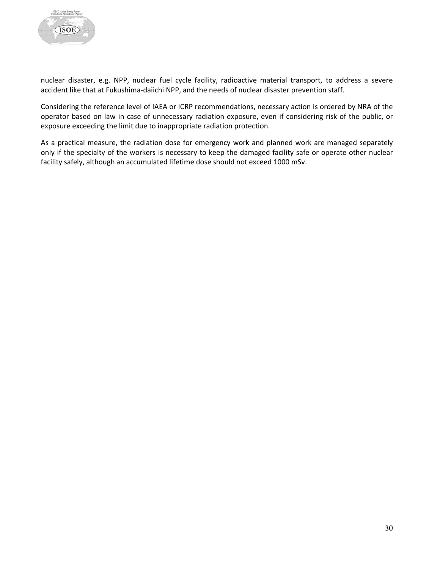

nuclear disaster, e.g. NPP, nuclear fuel cycle facility, radioactive material transport, to address a severe accident like that at Fukushima-daiichi NPP, and the needs of nuclear disaster prevention staff.

Considering the reference level of IAEA or ICRP recommendations, necessary action is ordered by NRA of the operator based on law in case of unnecessary radiation exposure, even if considering risk of the public, or exposure exceeding the limit due to inappropriate radiation protection.

As a practical measure, the radiation dose for emergency work and planned work are managed separately only if the specialty of the workers is necessary to keep the damaged facility safe or operate other nuclear facility safely, although an accumulated lifetime dose should not exceed 1000 mSv.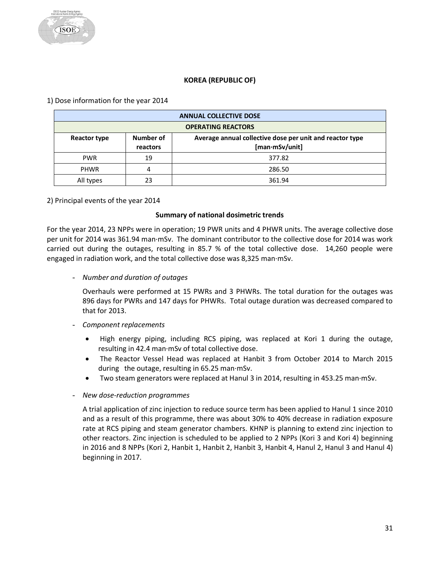# **KOREA (REPUBLIC OF)**

<span id="page-31-0"></span>1) Dose information for the year 2014

| <b>ANNUAL COLLECTIVE DOSE</b> |                           |                                                                            |  |  |
|-------------------------------|---------------------------|----------------------------------------------------------------------------|--|--|
|                               | <b>OPERATING REACTORS</b> |                                                                            |  |  |
| Reactor type                  | Number of<br>reactors     | Average annual collective dose per unit and reactor type<br>[man·mSv/unit] |  |  |
| <b>PWR</b>                    | 19                        | 377.82                                                                     |  |  |
| <b>PHWR</b>                   |                           | 286.50                                                                     |  |  |
| All types                     | 23                        | 361.94                                                                     |  |  |

# 2) Principal events of the year 2014

#### **Summary of national dosimetric trends**

For the year 2014, 23 NPPs were in operation; 19 PWR units and 4 PHWR units. The average collective dose per unit for 2014 was 361.94 man·mSv. The dominant contributor to the collective dose for 2014 was work carried out during the outages, resulting in 85.7 % of the total collective dose. 14,260 people were engaged in radiation work, and the total collective dose was 8,325 man·mSv.

- *Number and duration of outages*

Overhauls were performed at 15 PWRs and 3 PHWRs. The total duration for the outages was 896 days for PWRs and 147 days for PHWRs. Total outage duration was decreased compared to that for 2013.

- *Component replacements*
	- High energy piping, including RCS piping, was replaced at Kori 1 during the outage, resulting in 42.4 man·mSv of total collective dose.
	- The Reactor Vessel Head was replaced at Hanbit 3 from October 2014 to March 2015 during the outage, resulting in 65.25 man·mSv.
	- Two steam generators were replaced at Hanul 3 in 2014, resulting in 453.25 man·mSv.
- *New dose-reduction programmes*

A trial application of zinc injection to reduce source term has been applied to Hanul 1 since 2010 and as a result of this programme, there was about 30% to 40% decrease in radiation exposure rate at RCS piping and steam generator chambers. KHNP is planning to extend zinc injection to other reactors. Zinc injection is scheduled to be applied to 2 NPPs (Kori 3 and Kori 4) beginning in 2016 and 8 NPPs (Kori 2, Hanbit 1, Hanbit 2, Hanbit 3, Hanbit 4, Hanul 2, Hanul 3 and Hanul 4) beginning in 2017.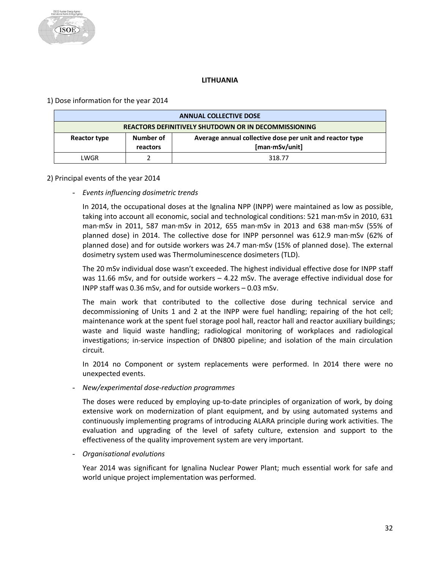# **LITHUANIA**

# <span id="page-32-0"></span>1) Dose information for the year 2014

| <b>ANNUAL COLLECTIVE DOSE</b>                               |  |                                                                            |  |
|-------------------------------------------------------------|--|----------------------------------------------------------------------------|--|
| <b>REACTORS DEFINITIVELY SHUTDOWN OR IN DECOMMISSIONING</b> |  |                                                                            |  |
| Number of<br>Reactor type<br>reactors                       |  | Average annual collective dose per unit and reactor type<br>[man·mSv/unit] |  |
| LWGR                                                        |  | 318.77                                                                     |  |

#### 2) Principal events of the year 2014

- *Events influencing dosimetric trends* 

In 2014, the occupational doses at the Ignalina NPP (INPP) were maintained as low as possible, taking into account all economic, social and technological conditions: 521 man·mSv in 2010, 631 man·mSv in 2011, 587 man·mSv in 2012, 655 man·mSv in 2013 and 638 man·mSv (55% of planned dose) in 2014. The collective dose for INPP personnel was 612.9 man·mSv (62% of planned dose) and for outside workers was 24.7 man·mSv (15% of planned dose). The external dosimetry system used was Thermoluminescence dosimeters (TLD).

The 20 mSv individual dose wasn't exceeded. The highest individual effective dose for INPP staff was 11.66 mSv, and for outside workers – 4.22 mSv. The average effective individual dose for INPP staff was 0.36 mSv, and for outside workers – 0.03 mSv.

The main work that contributed to the collective dose during technical service and decommissioning of Units 1 and 2 at the INPP were fuel handling; repairing of the hot cell; maintenance work at the spent fuel storage pool hall, reactor hall and reactor auxiliary buildings; waste and liquid waste handling; radiological monitoring of workplaces and radiological investigations; in-service inspection of DN800 pipeline; and isolation of the main circulation circuit.

In 2014 no Component or system replacements were performed. In 2014 there were no unexpected events.

- *New/experimental dose-reduction programmes*

The doses were reduced by employing up-to-date principles of organization of work, by doing extensive work on modernization of plant equipment, and by using automated systems and continuously implementing programs of introducing ALARA principle during work activities. The evaluation and upgrading of the level of safety culture, extension and support to the effectiveness of the quality improvement system are very important.

- *Organisational evolutions*

Year 2014 was significant for Ignalina Nuclear Power Plant; much essential work for safe and world unique project implementation was performed.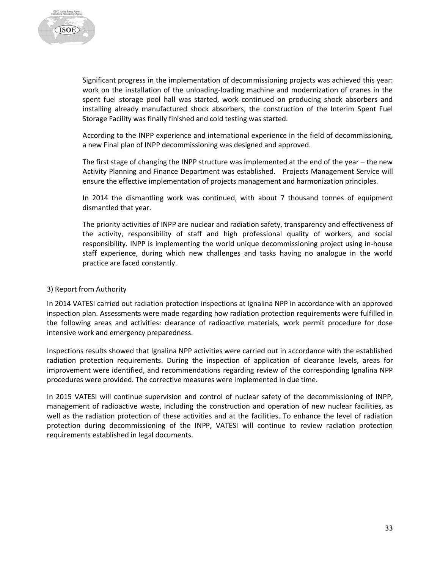

Significant progress in the implementation of decommissioning projects was achieved this year: work on the installation of the unloading-loading machine and modernization of cranes in the spent fuel storage pool hall was started, work continued on producing shock absorbers and installing already manufactured shock absorbers, the construction of the Interim Spent Fuel Storage Facility was finally finished and cold testing was started.

According to the INPP experience and international experience in the field of decommissioning, a new Final plan of INPP decommissioning was designed and approved.

The first stage of changing the INPP structure was implemented at the end of the year – the new Activity Planning and Finance Department was established. Projects Management Service will ensure the effective implementation of projects management and harmonization principles.

In 2014 the dismantling work was continued, with about 7 thousand tonnes of equipment dismantled that year.

The priority activities of INPP are nuclear and radiation safety, transparency and effectiveness of the activity, responsibility of staff and high professional quality of workers, and social responsibility. INPP is implementing the world unique decommissioning project using in-house staff experience, during which new challenges and tasks having no analogue in the world practice are faced constantly.

#### 3) Report from Authority

In 2014 VATESI carried out radiation protection inspections at Ignalina NPP in accordance with an approved inspection plan. Assessments were made regarding how radiation protection requirements were fulfilled in the following areas and activities: clearance of radioactive materials, work permit procedure for dose intensive work and emergency preparedness.

Inspections results showed that Ignalina NPP activities were carried out in accordance with the established radiation protection requirements. During the inspection of application of clearance levels, areas for improvement were identified, and recommendations regarding review of the corresponding Ignalina NPP procedures were provided. The corrective measures were implemented in due time.

In 2015 VATESI will continue supervision and control of nuclear safety of the decommissioning of INPP, management of radioactive waste, including the construction and operation of new nuclear facilities, as well as the radiation protection of these activities and at the facilities. To enhance the level of radiation protection during decommissioning of the INPP, VATESI will continue to review radiation protection requirements established in legal documents.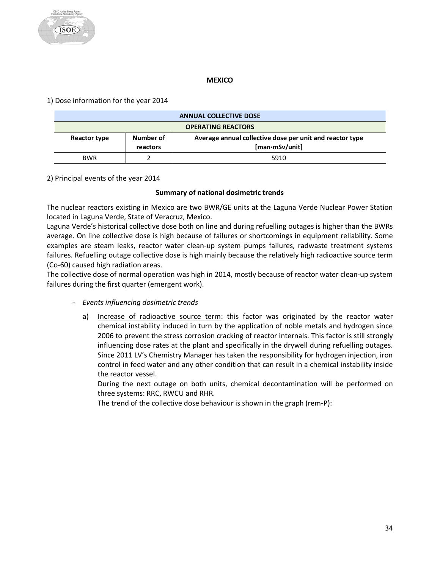#### **MEXICO**

<span id="page-34-0"></span>1) Dose information for the year 2014

| <b>ANNUAL COLLECTIVE DOSE</b> |                           |                                                                                    |  |  |
|-------------------------------|---------------------------|------------------------------------------------------------------------------------|--|--|
|                               | <b>OPERATING REACTORS</b> |                                                                                    |  |  |
| Reactor type                  | Number of<br>reactors     | Average annual collective dose per unit and reactor type<br>$[man \cdot mSv/unit]$ |  |  |
| <b>BWR</b>                    |                           | 5910                                                                               |  |  |

# 2) Principal events of the year 2014

#### **Summary of national dosimetric trends**

The nuclear reactors existing in Mexico are two BWR/GE units at the Laguna Verde Nuclear Power Station located in Laguna Verde, State of Veracruz, Mexico.

Laguna Verde's historical collective dose both on line and during refuelling outages is higher than the BWRs average. On line collective dose is high because of failures or shortcomings in equipment reliability. Some examples are steam leaks, reactor water clean-up system pumps failures, radwaste treatment systems failures. Refuelling outage collective dose is high mainly because the relatively high radioactive source term (Co-60) caused high radiation areas.

The collective dose of normal operation was high in 2014, mostly because of reactor water clean-up system failures during the first quarter (emergent work).

- *Events influencing dosimetric trends*
	- a) Increase of radioactive source term: this factor was originated by the reactor water chemical instability induced in turn by the application of noble metals and hydrogen since 2006 to prevent the stress corrosion cracking of reactor internals. This factor is still strongly influencing dose rates at the plant and specifically in the drywell during refuelling outages. Since 2011 LV's Chemistry Manager has taken the responsibility for hydrogen injection, iron control in feed water and any other condition that can result in a chemical instability inside the reactor vessel.

During the next outage on both units, chemical decontamination will be performed on three systems: RRC, RWCU and RHR.

The trend of the collective dose behaviour is shown in the graph (rem-P):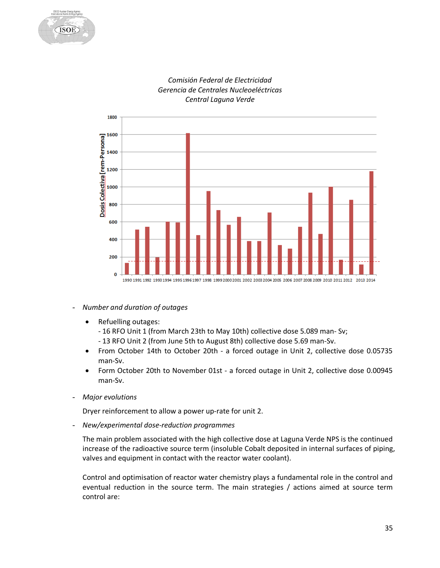





- *Number and duration of outages*
	- Refuelling outages:
		- 16 RFO Unit 1 (from March 23th to May 10th) collective dose 5.089 man- Sv;
		- 13 RFO Unit 2 (from June 5th to August 8th) collective dose 5.69 man-Sv.
	- From October 14th to October 20th a forced outage in Unit 2, collective dose 0.05735 man-Sv.
	- Form October 20th to November 01st a forced outage in Unit 2, collective dose 0.00945 man-Sv.
- *Major evolutions*

Dryer reinforcement to allow a power up-rate for unit 2.

- *New/experimental dose-reduction programmes*

The main problem associated with the high collective dose at Laguna Verde NPS is the continued increase of the radioactive source term (insoluble Cobalt deposited in internal surfaces of piping, valves and equipment in contact with the reactor water coolant).

Control and optimisation of reactor water chemistry plays a fundamental role in the control and eventual reduction in the source term. The main strategies / actions aimed at source term control are: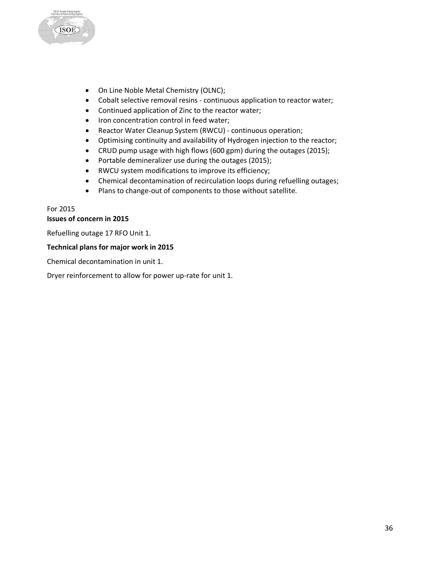

- On Line Noble Metal Chemistry (OLNC);
- Cobalt selective removal resins continuous application to reactor water;
- Continued application of Zinc to the reactor water;
- Iron concentration control in feed water;
- Reactor Water Cleanup System (RWCU) continuous operation;
- Optimising continuity and availability of Hydrogen injection to the reactor;
- CRUD pump usage with high flows (600 gpm) during the outages (2015);
- Portable demineralizer use during the outages (2015);
- RWCU system modifications to improve its efficiency;
- Chemical decontamination of recirculation loops during refuelling outages;
- Plans to change-out of components to those without satellite.

# For 2015 **Issues of concern in 2015**

Refuelling outage 17 RFO Unit 1.

# **Technical plans for major work in 2015**

Chemical decontamination in unit 1.

Dryer reinforcement to allow for power up-rate for unit 1.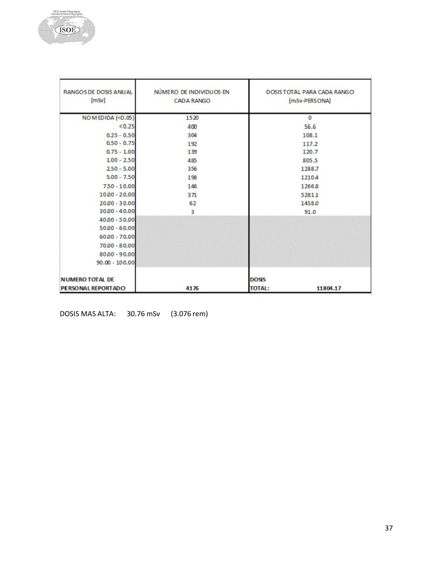**Bacher** 

| RANGOS DE DOSIS ANUAL<br>[mSv] | NÚMERO DE INDIVIDUOS EN<br>CADA RANGO | DOSISTOTAL PARA CADA RANGO<br>[mSv-PERSONA] |  |
|--------------------------------|---------------------------------------|---------------------------------------------|--|
| NO M EDIDA (<0.05)             | 1520                                  | $\mathbf 0$                                 |  |
| < 0.25                         | 400                                   | 56.6                                        |  |
| $0.25 - 0.50$                  | 304                                   | 108.1                                       |  |
| $0.50 - 0.75$                  | 192                                   | 117.2                                       |  |
| $0.75 - 1.00$                  | 139                                   | 120.7                                       |  |
| $1.00 - 2.50$                  | 485                                   | 805.5                                       |  |
| $2.50 - 5.00$                  | 356                                   | 1288.7                                      |  |
| $5.00 - 7.50$                  | 198                                   | 12104                                       |  |
| $750 - 10.00$                  | 146                                   | 12668                                       |  |
| $1000 - 20.00$                 | 371                                   | 5281.1                                      |  |
| $20.00 - 30.00$                | 62                                    | 1458.0                                      |  |
| $3000 - 40.00$                 | 3                                     | 91.0                                        |  |
| $40.00 - 50.00$                |                                       |                                             |  |
| $50,00 - 60,00$                |                                       |                                             |  |
| $60.00 - 70.00$                |                                       |                                             |  |
| $70.00 - 80.00$                |                                       |                                             |  |
| $80.00 - 90.00$                |                                       |                                             |  |
| $90.00 - 100.00$               |                                       |                                             |  |
| <b>NUMERO TOTAL DE</b>         |                                       | <b>DOSIS</b>                                |  |
| PERSONAL REPORTADO             | 4176                                  | <b>TOTAL:</b><br>11804.17                   |  |

DOSIS MAS ALTA: 30.76 mSv (3.076 rem)

×.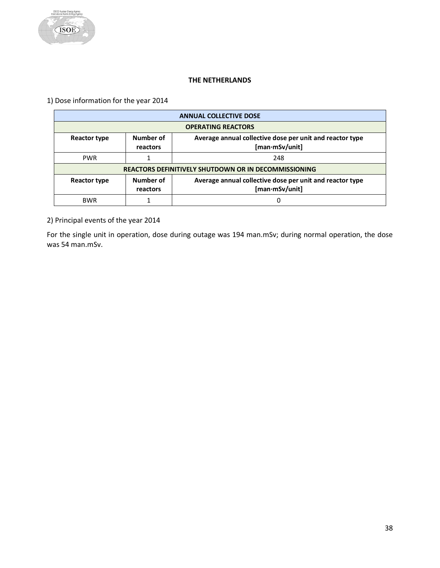# **THE NETHERLANDS**

<span id="page-38-0"></span>1) Dose information for the year 2014

| <b>ANNUAL COLLECTIVE DOSE</b> |                                                                                                     |     |  |  |
|-------------------------------|-----------------------------------------------------------------------------------------------------|-----|--|--|
|                               | <b>OPERATING REACTORS</b>                                                                           |     |  |  |
| Reactor type                  | Number of<br>Average annual collective dose per unit and reactor type<br>[man·mSv/unit]<br>reactors |     |  |  |
| <b>PWR</b>                    |                                                                                                     | 248 |  |  |
|                               | <b>REACTORS DEFINITIVELY SHUTDOWN OR IN DECOMMISSIONING</b>                                         |     |  |  |
| Reactor type                  | Number of<br>Average annual collective dose per unit and reactor type<br>[man·mSv/unit]<br>reactors |     |  |  |
| <b>BWR</b>                    |                                                                                                     | 0   |  |  |

2) Principal events of the year 2014

For the single unit in operation, dose during outage was 194 man.mSv; during normal operation, the dose was 54 man.mSv.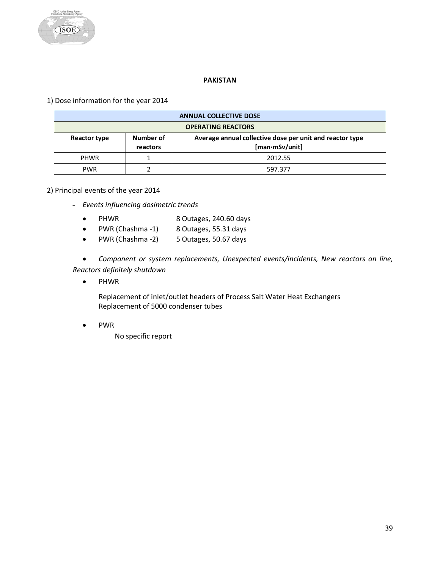

# **PAKISTAN**

<span id="page-39-0"></span>1) Dose information for the year 2014

| <b>ANNUAL COLLECTIVE DOSE</b>                                                                                       |  |         |  |
|---------------------------------------------------------------------------------------------------------------------|--|---------|--|
| <b>OPERATING REACTORS</b>                                                                                           |  |         |  |
| Number of<br>Average annual collective dose per unit and reactor type<br>Reactor type<br>[man·mSv/unit]<br>reactors |  |         |  |
| <b>PHWR</b>                                                                                                         |  | 2012.55 |  |
| <b>PWR</b>                                                                                                          |  | 597.377 |  |

2) Principal events of the year 2014

- *Events influencing dosimetric trends*
	- PHWR 8 Outages, 240.60 days
	- PWR (Chashma -1) 8 Outages, 55.31 days
	- PWR (Chashma -2) 5 Outages, 50.67 days

• *Component or system replacements, Unexpected events/incidents, New reactors on line, Reactors definitely shutdown*

• PHWR

Replacement of inlet/outlet headers of Process Salt Water Heat Exchangers Replacement of 5000 condenser tubes

• PWR

No specific report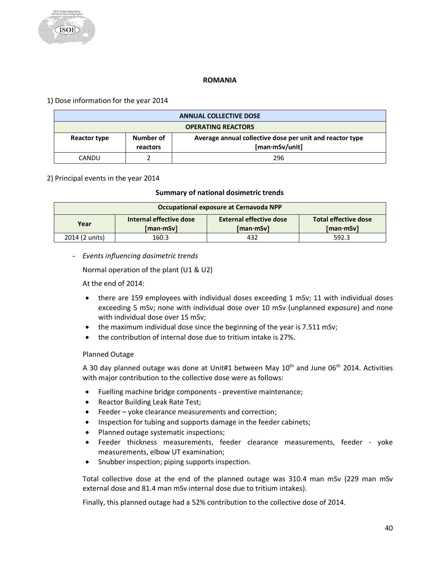#### **ROMANIA**

# <span id="page-40-0"></span>1) Dose information for the year 2014

| <b>ANNUAL COLLECTIVE DOSE</b>                           |  |                                                          |  |
|---------------------------------------------------------|--|----------------------------------------------------------|--|
| <b>OPERATING REACTORS</b>                               |  |                                                          |  |
| Number of<br>Reactor type<br>[man·mSv/unit]<br>reactors |  | Average annual collective dose per unit and reactor type |  |
| CANDU                                                   |  | 296                                                      |  |

#### 2) Principal events in the year 2014

#### **Summary of national dosimetric trends**

| Occupational exposure at Cernavoda NPP |                                                                                                                                          |     |       |  |  |
|----------------------------------------|------------------------------------------------------------------------------------------------------------------------------------------|-----|-------|--|--|
| Year                                   | <b>External effective dose</b><br>Total effective dose<br>Internal effective dose<br>$[man \cdot mSv]$<br>$[man \cdot mSv]$<br>「man·mSv] |     |       |  |  |
| 2014 (2 units)                         | 160.3                                                                                                                                    | 432 | 592.3 |  |  |

#### - *Events influencing dosimetric trends*

Normal operation of the plant (U1 & U2)

At the end of 2014:

- there are 159 employees with individual doses exceeding 1 mSv; 11 with individual doses exceeding 5 mSv; none with individual dose over 10 mSv (unplanned exposure) and none with individual dose over 15 mSv;
- the maximum individual dose since the beginning of the year is 7.511 mSv;
- the contribution of internal dose due to tritium intake is 27%.

#### Planned Outage

A 30 day planned outage was done at Unit#1 between May  $10<sup>th</sup>$  and June 06<sup>th</sup> 2014. Activities with major contribution to the collective dose were as follows:

- Fuelling machine bridge components preventive maintenance;
- Reactor Building Leak Rate Test;
- Feeder yoke clearance measurements and correction;
- Inspection for tubing and supports damage in the feeder cabinets;
- Planned outage systematic inspections;
- Feeder thickness measurements, feeder clearance measurements, feeder yoke measurements, elbow UT examination;
- Snubber inspection; piping supports inspection.

Total collective dose at the end of the planned outage was 310.4 man mSv (229 man mSv external dose and 81.4 man mSv internal dose due to tritium intakes).

Finally, this planned outage had a 52% contribution to the collective dose of 2014.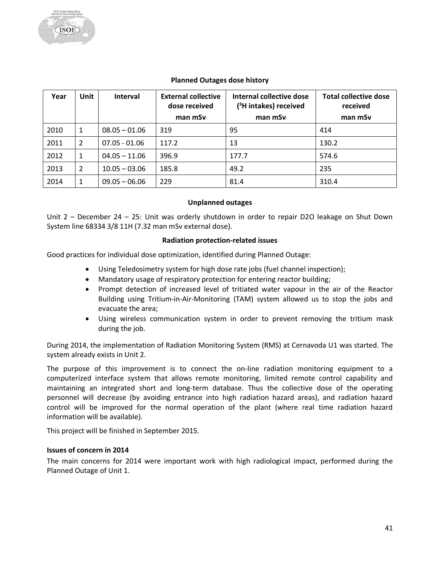#### **Planned Outages dose history**

| Year | <b>Unit</b> | <b>Interval</b> | <b>External collective</b><br>dose received | Internal collective dose<br>$(^3$ H intakes) received | <b>Total collective dose</b><br>received |
|------|-------------|-----------------|---------------------------------------------|-------------------------------------------------------|------------------------------------------|
|      |             |                 | man mSv                                     | man mSv                                               | man mSv                                  |
| 2010 | 1           | $08.05 - 01.06$ | 319                                         | 95                                                    | 414                                      |
| 2011 | 2           | $07.05 - 01.06$ | 117.2                                       | 13                                                    | 130.2                                    |
| 2012 | 1           | $04.05 - 11.06$ | 396.9                                       | 177.7                                                 | 574.6                                    |
| 2013 | 2           | $10.05 - 03.06$ | 185.8                                       | 49.2                                                  | 235                                      |
| 2014 | 1           | $09.05 - 06.06$ | 229                                         | 81.4                                                  | 310.4                                    |

#### **Unplanned outages**

Unit 2 – December 24 – 25: Unit was orderly shutdown in order to repair D2O leakage on Shut Down System line 68334 3/8 11H (7.32 man mSv external dose).

#### **Radiation protection-related issues**

Good practices for individual dose optimization, identified during Planned Outage:

- Using Teledosimetry system for high dose rate jobs (fuel channel inspection);
- Mandatory usage of respiratory protection for entering reactor building;
- Prompt detection of increased level of tritiated water vapour in the air of the Reactor Building using Tritium-in-Air-Monitoring (TAM) system allowed us to stop the jobs and evacuate the area;
- Using wireless communication system in order to prevent removing the tritium mask during the job.

During 2014, the implementation of Radiation Monitoring System (RMS) at Cernavoda U1 was started. The system already exists in Unit 2.

The purpose of this improvement is to connect the on-line radiation monitoring equipment to a computerized interface system that allows remote monitoring, limited remote control capability and maintaining an integrated short and long-term database. Thus the collective dose of the operating personnel will decrease (by avoiding entrance into high radiation hazard areas), and radiation hazard control will be improved for the normal operation of the plant (where real time radiation hazard information will be available).

This project will be finished in September 2015.

#### **Issues of concern in 2014**

The main concerns for 2014 were important work with high radiological impact, performed during the Planned Outage of Unit 1.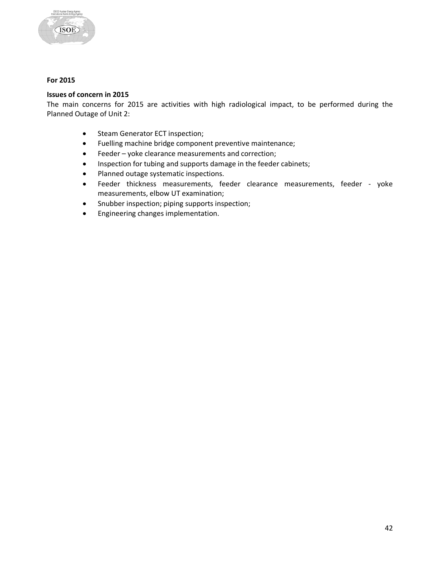

# **For 2015**

#### **Issues of concern in 2015**

The main concerns for 2015 are activities with high radiological impact, to be performed during the Planned Outage of Unit 2:

- Steam Generator ECT inspection;
- Fuelling machine bridge component preventive maintenance;
- Feeder yoke clearance measurements and correction;
- Inspection for tubing and supports damage in the feeder cabinets;
- Planned outage systematic inspections.
- Feeder thickness measurements, feeder clearance measurements, feeder yoke measurements, elbow UT examination;
- Snubber inspection; piping supports inspection;
- Engineering changes implementation.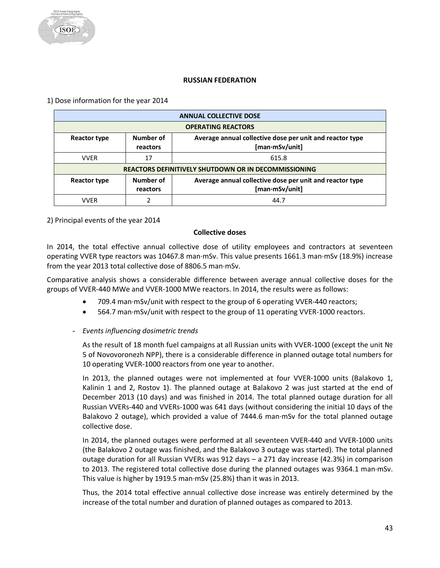#### **RUSSIAN FEDERATION**

<span id="page-43-0"></span>1) Dose information for the year 2014

|              | <b>ANNUAL COLLECTIVE DOSE</b>                                                                       |       |  |  |
|--------------|-----------------------------------------------------------------------------------------------------|-------|--|--|
|              | <b>OPERATING REACTORS</b>                                                                           |       |  |  |
| Reactor type | Number of<br>Average annual collective dose per unit and reactor type<br>[man·mSv/unit]<br>reactors |       |  |  |
| <b>VVFR</b>  | 17                                                                                                  | 615.8 |  |  |
|              | <b>REACTORS DEFINITIVELY SHUTDOWN OR IN DECOMMISSIONING</b>                                         |       |  |  |
| Reactor type | Number of<br>Average annual collective dose per unit and reactor type<br>[man·mSv/unit]<br>reactors |       |  |  |
| <b>VVFR</b>  |                                                                                                     | 44.7  |  |  |

2) Principal events of the year 2014

#### **Collective doses**

In 2014, the total effective annual collective dose of utility employees and contractors at seventeen operating VVER type reactors was 10467.8 man·mSv. This value presents 1661.3 man·mSv (18.9%) increase from the year 2013 total collective dose of 8806.5 man·mSv.

Comparative analysis shows a considerable difference between average annual collective doses for the groups of VVER-440 MWe and VVER-1000 MWe reactors. In 2014, the results were as follows:

- 709.4 man·mSv/unit with respect to the group of 6 operating VVER-440 reactors;
- 564.7 man·mSv/unit with respect to the group of 11 operating VVER-1000 reactors.

#### - *Events influencing dosimetric trends*

As the result of 18 month fuel campaigns at all Russian units with VVER-1000 (except the unit № 5 of Novovoronezh NPP), there is a considerable difference in planned outage total numbers for 10 operating VVER-1000 reactors from one year to another.

In 2013, the planned outages were not implemented at four VVER-1000 units (Balakovo 1, Kalinin 1 and 2, Rostov 1). The planned outage at Balakovo 2 was just started at the end of December 2013 (10 days) and was finished in 2014. The total planned outage duration for all Russian VVERs-440 and VVERs-1000 was 641 days (without considering the initial 10 days of the Balakovo 2 outage), which provided a value of 7444.6 man·mSv for the total planned outage collective dose.

In 2014, the planned outages were performed at all seventeen VVER-440 and VVER-1000 units (the Balakovo 2 outage was finished, and the Balakovo 3 outage was started). The total planned outage duration for all Russian VVERs was 912 days – a 271 day increase (42.3%) in comparison to 2013. The registered total collective dose during the planned outages was 9364.1 man·mSv. This value is higher by 1919.5 man·mSv (25.8%) than it was in 2013.

Thus, the 2014 total effective annual collective dose increase was entirely determined by the increase of the total number and duration of planned outages as compared to 2013.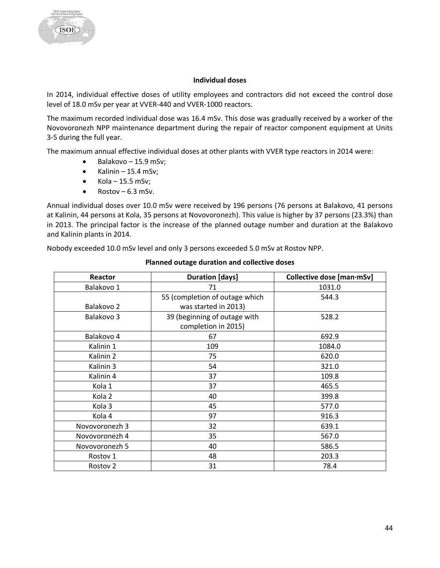#### **Individual doses**

In 2014, individual effective doses of utility employees and contractors did not exceed the control dose level of 18.0 mSv per year at VVER-440 and VVER-1000 reactors.

The maximum recorded individual dose was 16.4 mSv. This dose was gradually received by a worker of the Novovoronezh NPP maintenance department during the repair of reactor component equipment at Units 3-5 during the full year.

The maximum annual effective individual doses at other plants with VVER type reactors in 2014 were:

- $\bullet$  Balakovo 15.9 mSv;
- Kalinin 15.4 mSv;
- $Kola 15.5$  mSv;
- Rostov  $6.3$  mSv.

Annual individual doses over 10.0 mSv were received by 196 persons (76 persons at Balakovo, 41 persons at Kalinin, 44 persons at Kola, 35 persons at Novovoronezh). This value is higher by 37 persons (23.3%) than in 2013. The principal factor is the increase of the planned outage number and duration at the Balakovo and Kalinin plants in 2014.

Nobody exceeded 10.0 mSv level and only 3 persons exceeded 5.0 mSv at Rostov NPP.

| Reactor             | <b>Duration [days]</b>         | Collective dose [man·mSv] |
|---------------------|--------------------------------|---------------------------|
| Balakovo 1          | 71                             | 1031.0                    |
|                     | 55 (completion of outage which | 544.3                     |
| Balakovo 2          | was started in 2013)           |                           |
| Balakovo 3          | 39 (beginning of outage with   | 528.2                     |
|                     | completion in 2015)            |                           |
| Balakovo 4          | 67                             | 692.9                     |
| Kalinin 1           | 109                            | 1084.0                    |
| Kalinin 2           | 75                             | 620.0                     |
| Kalinin 3           | 54                             | 321.0                     |
| Kalinin 4           | 37                             | 109.8                     |
| Kola 1              | 37                             | 465.5                     |
| Kola 2              | 40                             | 399.8                     |
| Kola 3              | 45                             | 577.0                     |
| Kola 4              | 97                             | 916.3                     |
| Novovoronezh 3      | 32                             | 639.1                     |
| Novovoronezh 4      | 35                             | 567.0                     |
| Novovoronezh 5      | 40                             | 586.5                     |
| Rostov 1            | 48                             | 203.3                     |
| Rostov <sub>2</sub> | 31                             | 78.4                      |

#### **Planned outage duration and collective doses**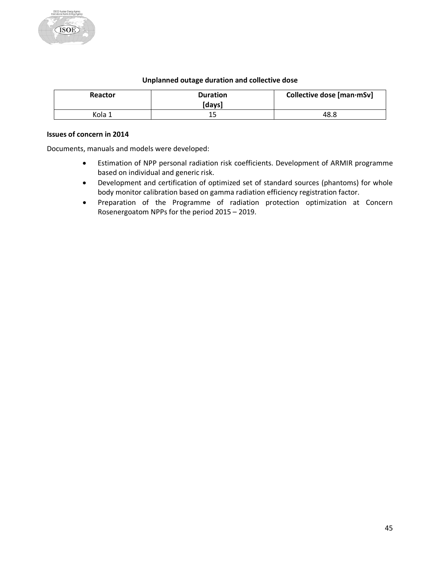#### **Unplanned outage duration and collective dose**

| Reactor | <b>Duration</b><br>[davs] | Collective dose [man·mSv] |
|---------|---------------------------|---------------------------|
| Kola 1  | ᅩ                         | 48.8                      |

#### **Issues of concern in 2014**

Documents, manuals and models were developed:

- Estimation of NPP personal radiation risk coefficients. Development of ARMIR programme based on individual and generic risk.
- Development and certification of optimized set of standard sources (phantoms) for whole body monitor calibration based on gamma radiation efficiency registration factor.
- Preparation of the Programme of radiation protection optimization at Concern Rosenergoatom NPPs for the period 2015 – 2019.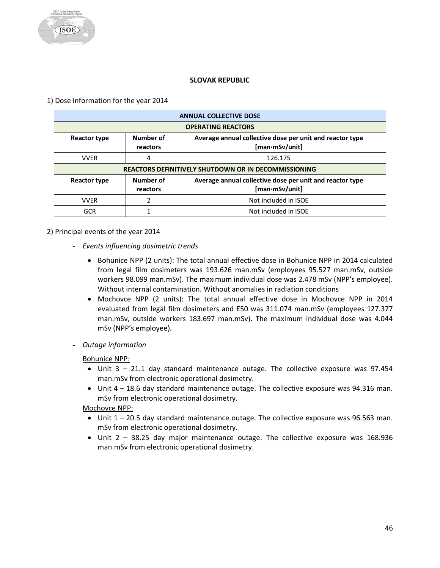#### **SLOVAK REPUBLIC**

<span id="page-46-0"></span>1) Dose information for the year 2014

|              | <b>ANNUAL COLLECTIVE DOSE</b>                                                                       |                      |  |  |
|--------------|-----------------------------------------------------------------------------------------------------|----------------------|--|--|
|              | <b>OPERATING REACTORS</b>                                                                           |                      |  |  |
| Reactor type | Number of<br>Average annual collective dose per unit and reactor type<br>[man·mSv/unit]<br>reactors |                      |  |  |
| <b>VVER</b>  | 4                                                                                                   | 126.175              |  |  |
|              | <b>REACTORS DEFINITIVELY SHUTDOWN OR IN DECOMMISSIONING</b>                                         |                      |  |  |
| Reactor type | Number of<br>Average annual collective dose per unit and reactor type<br>[man·mSv/unit]<br>reactors |                      |  |  |
| <b>VVFR</b>  | 2                                                                                                   | Not included in ISOE |  |  |
| <b>GCR</b>   |                                                                                                     | Not included in ISOE |  |  |

#### 2) Principal events of the year 2014

- *Events influencing dosimetric trends*
	- Bohunice NPP (2 units): The total annual effective dose in Bohunice NPP in 2014 calculated from legal film dosimeters was 193.626 man.mSv (employees 95.527 man.mSv, outside workers 98.099 man.mSv). The maximum individual dose was 2.478 mSv (NPP's employee). Without internal contamination. Without anomalies in radiation conditions
	- Mochovce NPP (2 units): The total annual effective dose in Mochovce NPP in 2014 evaluated from legal film dosimeters and E50 was 311.074 man.mSv (employees 127.377 man.mSv, outside workers 183.697 man.mSv). The maximum individual dose was 4.044 mSv (NPP's employee).
- *Outage information*

Bohunice NPP:

- Unit 3 21.1 day standard maintenance outage. The collective exposure was 97.454 man.mSv from electronic operational dosimetry.
- Unit 4 18.6 day standard maintenance outage. The collective exposure was 94.316 man. mSv from electronic operational dosimetry.

Mochovce NPP:

- Unit 1 20.5 day standard maintenance outage. The collective exposure was 96.563 man. mSv from electronic operational dosimetry.
- Unit 2 38.25 day major maintenance outage. The collective exposure was 168.936 man.mSv from electronic operational dosimetry.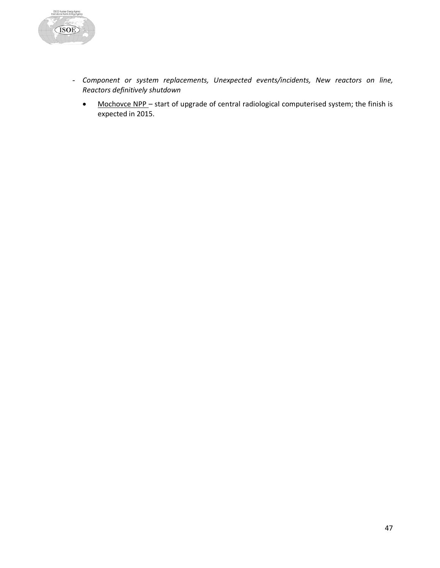

- *Component or system replacements, Unexpected events/incidents, New reactors on line, Reactors definitively shutdown*
	- Mochovce NPP start of upgrade of central radiological computerised system; the finish is expected in 2015.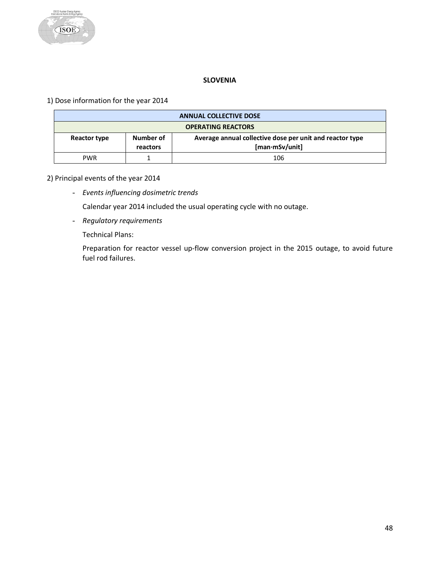

# **SLOVENIA**

<span id="page-48-0"></span>1) Dose information for the year 2014

| <b>ANNUAL COLLECTIVE DOSE</b>                           |  |                                                          |  |
|---------------------------------------------------------|--|----------------------------------------------------------|--|
| <b>OPERATING REACTORS</b>                               |  |                                                          |  |
| Number of<br>Reactor type<br>[man·mSv/unit]<br>reactors |  | Average annual collective dose per unit and reactor type |  |
| <b>PWR</b>                                              |  | 106                                                      |  |

# 2) Principal events of the year 2014

- *Events influencing dosimetric trends*

Calendar year 2014 included the usual operating cycle with no outage.

- *Regulatory requirements*

Technical Plans:

Preparation for reactor vessel up-flow conversion project in the 2015 outage, to avoid future fuel rod failures.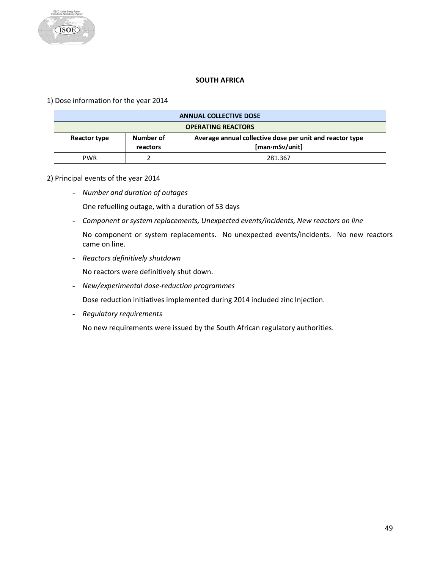# **SOUTH AFRICA**

<span id="page-49-0"></span>1) Dose information for the year 2014

| <b>ANNUAL COLLECTIVE DOSE</b>                           |  |                                                          |  |
|---------------------------------------------------------|--|----------------------------------------------------------|--|
| <b>OPERATING REACTORS</b>                               |  |                                                          |  |
| Number of<br>Reactor type<br>[man·mSv/unit]<br>reactors |  | Average annual collective dose per unit and reactor type |  |
| <b>PWR</b>                                              |  | 281.367                                                  |  |

# 2) Principal events of the year 2014

- *Number and duration of outages*

One refuelling outage, with a duration of 53 days

- *Component or system replacements, Unexpected events/incidents, New reactors on line*

No component or system replacements. No unexpected events/incidents. No new reactors came on line.

- *Reactors definitively shutdown*

No reactors were definitively shut down.

- *New/experimental dose-reduction programmes*

Dose reduction initiatives implemented during 2014 included zinc Injection.

- *Regulatory requirements*

No new requirements were issued by the South African regulatory authorities.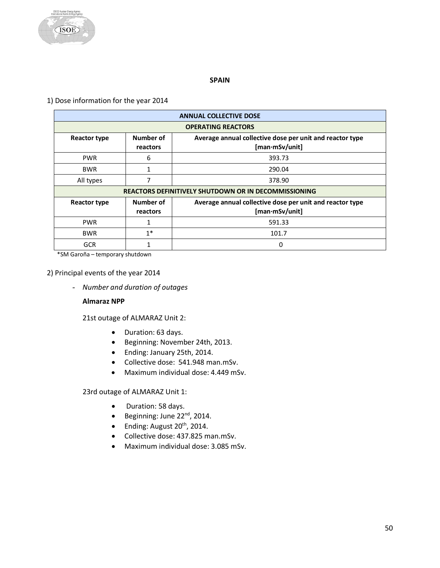

#### **SPAIN**

# <span id="page-50-0"></span>1) Dose information for the year 2014

|                     | <b>ANNUAL COLLECTIVE DOSE</b>                                                                       |                                                                            |  |  |
|---------------------|-----------------------------------------------------------------------------------------------------|----------------------------------------------------------------------------|--|--|
|                     | <b>OPERATING REACTORS</b>                                                                           |                                                                            |  |  |
| Reactor type        | Number of<br>reactors                                                                               | Average annual collective dose per unit and reactor type<br>[man·mSv/unit] |  |  |
| <b>PWR</b>          | 6                                                                                                   | 393.73                                                                     |  |  |
| <b>BWR</b>          | 1                                                                                                   | 290.04                                                                     |  |  |
| All types           | 7                                                                                                   | 378.90                                                                     |  |  |
|                     | <b>REACTORS DEFINITIVELY SHUTDOWN OR IN DECOMMISSIONING</b>                                         |                                                                            |  |  |
| <b>Reactor type</b> | Number of<br>Average annual collective dose per unit and reactor type<br>[man·mSv/unit]<br>reactors |                                                                            |  |  |
| <b>PWR</b>          | 1                                                                                                   | 591.33                                                                     |  |  |
| <b>BWR</b>          | $1^*$                                                                                               | 101.7                                                                      |  |  |
| <b>GCR</b>          |                                                                                                     | $\Omega$                                                                   |  |  |

\*SM Garoña – temporary shutdown

#### 2) Principal events of the year 2014

- *Number and duration of outages*

#### **Almaraz NPP**

21st outage of ALMARAZ Unit 2:

- Duration: 63 days.
- Beginning: November 24th, 2013.
- Ending: January 25th, 2014.
- Collective dose: 541.948 man.mSv.
- Maximum individual dose: 4.449 mSv.

23rd outage of ALMARAZ Unit 1:

- Duration: 58 days.
- Beginning: June 22nd, 2014.
- $\bullet$  Ending: August 20<sup>th</sup>, 2014.
- Collective dose: 437.825 man.mSv.
- Maximum individual dose: 3.085 mSv.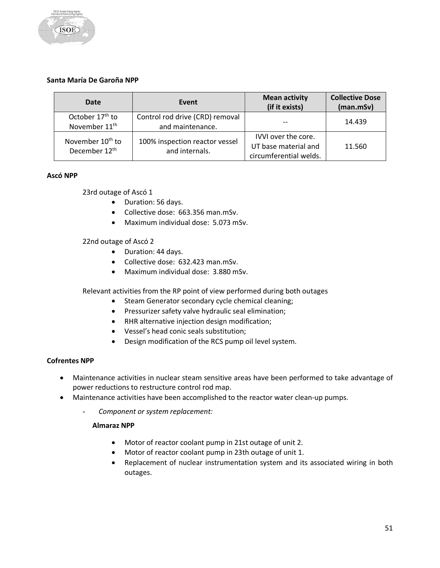

# **Santa María De Garoña NPP**

| Date                                                      | Event                                               | <b>Mean activity</b><br>(if it exists)                                | <b>Collective Dose</b><br>(man.mSv) |
|-----------------------------------------------------------|-----------------------------------------------------|-----------------------------------------------------------------------|-------------------------------------|
| October 17 <sup>th</sup> to<br>November 11 <sup>th</sup>  | Control rod drive (CRD) removal<br>and maintenance. |                                                                       | 14.439                              |
| November 10 <sup>th</sup> to<br>December 12 <sup>th</sup> | 100% inspection reactor vessel<br>and internals.    | IVVI over the core.<br>UT base material and<br>circumferential welds. | 11.560                              |

#### **Ascó NPP**

23rd outage of Ascó 1

- Duration: 56 days.
- Collective dose: 663.356 man.mSv.
- Maximum individual dose: 5.073 mSv.

#### 22nd outage of Ascó 2

- Duration: 44 days.
- Collective dose: 632.423 man.mSv.
- Maximum individual dose: 3.880 mSv.

Relevant activities from the RP point of view performed during both outages

- Steam Generator secondary cycle chemical cleaning;
- Pressurizer safety valve hydraulic seal elimination;
- RHR alternative injection design modification;
- Vessel's head conic seals substitution;
- Design modification of the RCS pump oil level system.

#### **Cofrentes NPP**

- Maintenance activities in nuclear steam sensitive areas have been performed to take advantage of power reductions to restructure control rod map.
- Maintenance activities have been accomplished to the reactor water clean-up pumps.
	- *Component or system replacement:*

# **Almaraz NPP**

- Motor of reactor coolant pump in 21st outage of unit 2.
- Motor of reactor coolant pump in 23th outage of unit 1.
- Replacement of nuclear instrumentation system and its associated wiring in both outages.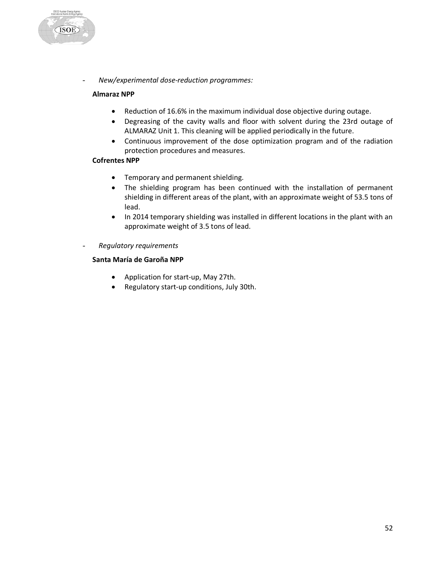

#### **Almaraz NPP**

**ISOE** 

- Reduction of 16.6% in the maximum individual dose objective during outage.
- Degreasing of the cavity walls and floor with solvent during the 23rd outage of ALMARAZ Unit 1. This cleaning will be applied periodically in the future.
- Continuous improvement of the dose optimization program and of the radiation protection procedures and measures.

# **Cofrentes NPP**

- Temporary and permanent shielding.
- The shielding program has been continued with the installation of permanent shielding in different areas of the plant, with an approximate weight of 53.5 tons of lead.
- In 2014 temporary shielding was installed in different locations in the plant with an approximate weight of 3.5 tons of lead.
- *Regulatory requirements*

#### **Santa María de Garoña NPP**

- Application for start-up, May 27th.
- Regulatory start-up conditions, July 30th.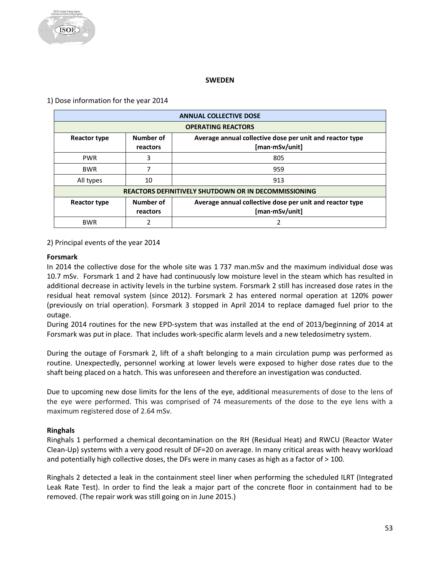#### **SWEDEN**

# <span id="page-53-0"></span>1) Dose information for the year 2014

| <b>ANNUAL COLLECTIVE DOSE</b>                                                                                              |                                                             |                                                                            |  |  |  |
|----------------------------------------------------------------------------------------------------------------------------|-------------------------------------------------------------|----------------------------------------------------------------------------|--|--|--|
|                                                                                                                            | <b>OPERATING REACTORS</b>                                   |                                                                            |  |  |  |
| Number of<br>Average annual collective dose per unit and reactor type<br><b>Reactor type</b><br>[man·mSv/unit]<br>reactors |                                                             |                                                                            |  |  |  |
| <b>PWR</b>                                                                                                                 | 3                                                           | 805                                                                        |  |  |  |
| <b>BWR</b>                                                                                                                 |                                                             | 959                                                                        |  |  |  |
| All types                                                                                                                  | 10                                                          | 913                                                                        |  |  |  |
|                                                                                                                            | <b>REACTORS DEFINITIVELY SHUTDOWN OR IN DECOMMISSIONING</b> |                                                                            |  |  |  |
| <b>Reactor type</b>                                                                                                        | Number of<br>reactors                                       | Average annual collective dose per unit and reactor type<br>[man·mSv/unit] |  |  |  |
| <b>BWR</b>                                                                                                                 |                                                             | ำ                                                                          |  |  |  |

# 2) Principal events of the year 2014

#### **Forsmark**

In 2014 the collective dose for the whole site was 1 737 man.mSv and the maximum individual dose was 10.7 mSv. Forsmark 1 and 2 have had continuously low moisture level in the steam which has resulted in additional decrease in activity levels in the turbine system. Forsmark 2 still has increased dose rates in the residual heat removal system (since 2012). Forsmark 2 has entered normal operation at 120% power (previously on trial operation). Forsmark 3 stopped in April 2014 to replace damaged fuel prior to the outage.

During 2014 routines for the new EPD-system that was installed at the end of 2013/beginning of 2014 at Forsmark was put in place. That includes work-specific alarm levels and a new teledosimetry system.

During the outage of Forsmark 2, lift of a shaft belonging to a main circulation pump was performed as routine. Unexpectedly, personnel working at lower levels were exposed to higher dose rates due to the shaft being placed on a hatch. This was unforeseen and therefore an investigation was conducted.

Due to upcoming new dose limits for the lens of the eye, additional measurements of dose to the lens of the eye were performed. This was comprised of 74 measurements of the dose to the eye lens with a maximum registered dose of 2.64 mSv.

#### **Ringhals**

Ringhals 1 performed a chemical decontamination on the RH (Residual Heat) and RWCU (Reactor Water Clean-Up) systems with a very good result of DF=20 on average. In many critical areas with heavy workload and potentially high collective doses, the DFs were in many cases as high as a factor of > 100.

Ringhals 2 detected a leak in the containment steel liner when performing the scheduled ILRT (Integrated Leak Rate Test). In order to find the leak a major part of the concrete floor in containment had to be removed. (The repair work was still going on in June 2015.)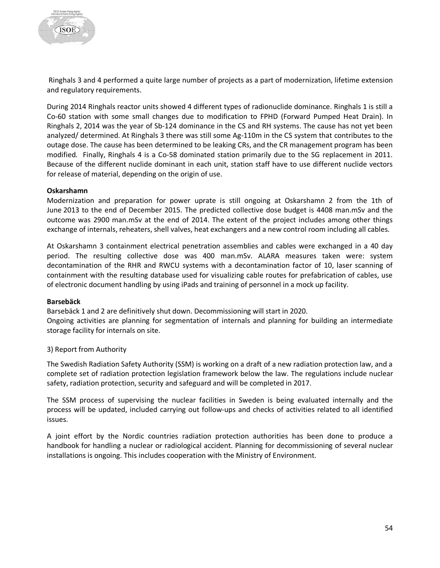

Ringhals 3 and 4 performed a quite large number of projects as a part of modernization, lifetime extension and regulatory requirements.

During 2014 Ringhals reactor units showed 4 different types of radionuclide dominance. Ringhals 1 is still a Co-60 station with some small changes due to modification to FPHD (Forward Pumped Heat Drain). In Ringhals 2, 2014 was the year of Sb-124 dominance in the CS and RH systems. The cause has not yet been analyzed/ determined. At Ringhals 3 there was still some Ag-110m in the CS system that contributes to the outage dose. The cause has been determined to be leaking CRs, and the CR management program has been modified. Finally, Ringhals 4 is a Co-58 dominated station primarily due to the SG replacement in 2011. Because of the different nuclide dominant in each unit, station staff have to use different nuclide vectors for release of material, depending on the origin of use.

#### **Oskarshamn**

Modernization and preparation for power uprate is still ongoing at Oskarshamn 2 from the 1th of June 2013 to the end of December 2015. The predicted collective dose budget is 4408 man.mSv and the outcome was 2900 man.mSv at the end of 2014. The extent of the project includes among other things exchange of internals, reheaters, shell valves, heat exchangers and a new control room including all cables.

At Oskarshamn 3 containment electrical penetration assemblies and cables were exchanged in a 40 day period. The resulting collective dose was 400 man.mSv. ALARA measures taken were: system decontamination of the RHR and RWCU systems with a decontamination factor of 10, laser scanning of containment with the resulting database used for visualizing cable routes for prefabrication of cables, use of electronic document handling by using iPads and training of personnel in a mock up facility.

#### **Barsebäck**

Barsebäck 1 and 2 are definitively shut down. Decommissioning will start in 2020.

Ongoing activities are planning for segmentation of internals and planning for building an intermediate storage facility for internals on site.

#### 3) Report from Authority

The Swedish Radiation Safety Authority (SSM) is working on a draft of a new radiation protection law, and a complete set of radiation protection legislation framework below the law. The regulations include nuclear safety, radiation protection, security and safeguard and will be completed in 2017.

The SSM process of supervising the nuclear facilities in Sweden is being evaluated internally and the process will be updated, included carrying out follow-ups and checks of activities related to all identified issues.

A joint effort by the Nordic countries radiation protection authorities has been done to produce a handbook for handling a nuclear or radiological accident. Planning for decommissioning of several nuclear installations is ongoing. This includes cooperation with the Ministry of Environment.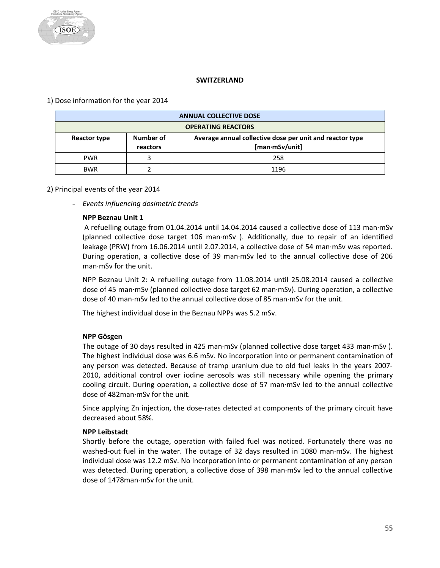# **SWITZERLAND**

# <span id="page-55-0"></span>1) Dose information for the year 2014

| <b>ANNUAL COLLECTIVE DOSE</b>                                                                                              |  |      |  |
|----------------------------------------------------------------------------------------------------------------------------|--|------|--|
| <b>OPERATING REACTORS</b>                                                                                                  |  |      |  |
| Average annual collective dose per unit and reactor type<br>Number of<br><b>Reactor type</b><br>[man·mSv/unit]<br>reactors |  |      |  |
| <b>PWR</b>                                                                                                                 |  | 258  |  |
| <b>BWR</b>                                                                                                                 |  | 1196 |  |

# 2) Principal events of the year 2014

- *Events influencing dosimetric trends* 

# **NPP Beznau Unit 1**

A refuelling outage from 01.04.2014 until 14.04.2014 caused a collective dose of 113 man·mSv (planned collective dose target 106 man·mSv ). Additionally, due to repair of an identified leakage (PRW) from 16.06.2014 until 2.07.2014, a collective dose of 54 man·mSv was reported. During operation, a collective dose of 39 man·mSv led to the annual collective dose of 206 man·mSv for the unit.

NPP Beznau Unit 2: A refuelling outage from 11.08.2014 until 25.08.2014 caused a collective dose of 45 man·mSv (planned collective dose target 62 man·mSv). During operation, a collective dose of 40 man·mSv led to the annual collective dose of 85 man·mSv for the unit.

The highest individual dose in the Beznau NPPs was 5.2 mSv.

#### **NPP Gösgen**

The outage of 30 days resulted in 425 man·mSv (planned collective dose target 433 man·mSv ). The highest individual dose was 6.6 mSv. No incorporation into or permanent contamination of any person was detected. Because of tramp uranium due to old fuel leaks in the years 2007- 2010, additional control over iodine aerosols was still necessary while opening the primary cooling circuit. During operation, a collective dose of 57 man·mSv led to the annual collective dose of 482man·mSv for the unit.

Since applying Zn injection, the dose-rates detected at components of the primary circuit have decreased about 58%.

#### **NPP Leibstadt**

Shortly before the outage, operation with failed fuel was noticed. Fortunately there was no washed-out fuel in the water. The outage of 32 days resulted in 1080 man·mSv. The highest individual dose was 12.2 mSv. No incorporation into or permanent contamination of any person was detected. During operation, a collective dose of 398 man·mSv led to the annual collective dose of 1478man·mSv for the unit.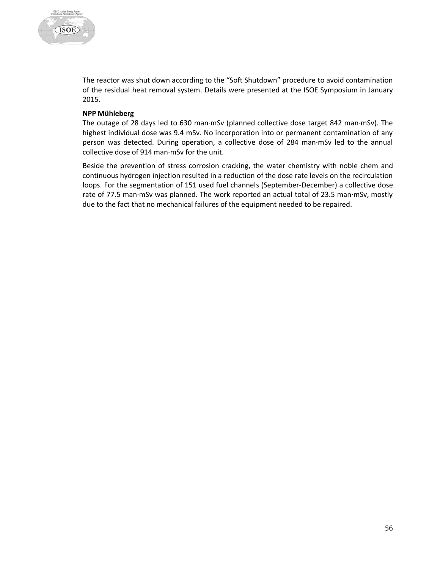

The reactor was shut down according to the "Soft Shutdown" procedure to avoid contamination of the residual heat removal system. Details were presented at the ISOE Symposium in January 2015.

#### **NPP Mühleberg**

The outage of 28 days led to 630 man·mSv (planned collective dose target 842 man·mSv). The highest individual dose was 9.4 mSv. No incorporation into or permanent contamination of any person was detected. During operation, a collective dose of 284 man·mSv led to the annual collective dose of 914 man·mSv for the unit.

Beside the prevention of stress corrosion cracking, the water chemistry with noble chem and continuous hydrogen injection resulted in a reduction of the dose rate levels on the recirculation loops. For the segmentation of 151 used fuel channels (September-December) a collective dose rate of 77.5 man·mSv was planned. The work reported an actual total of 23.5 man·mSv, mostly due to the fact that no mechanical failures of the equipment needed to be repaired.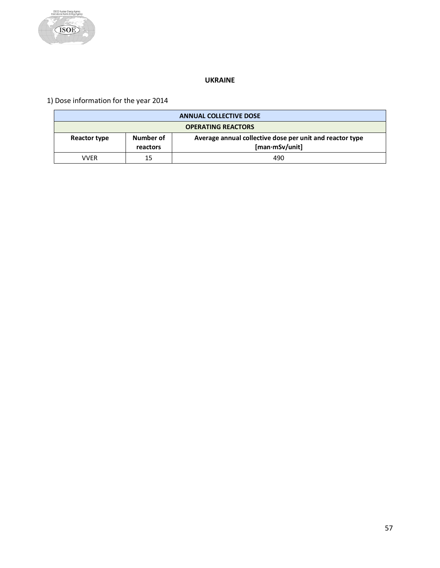

# **UKRAINE**

<span id="page-57-0"></span>1) Dose information for the year 2014

| <b>ANNUAL COLLECTIVE DOSE</b>                                                                                              |    |     |  |  |
|----------------------------------------------------------------------------------------------------------------------------|----|-----|--|--|
| <b>OPERATING REACTORS</b>                                                                                                  |    |     |  |  |
| Number of<br>Average annual collective dose per unit and reactor type<br><b>Reactor type</b><br>[man·mSv/unit]<br>reactors |    |     |  |  |
| VVFR                                                                                                                       | 15 | 490 |  |  |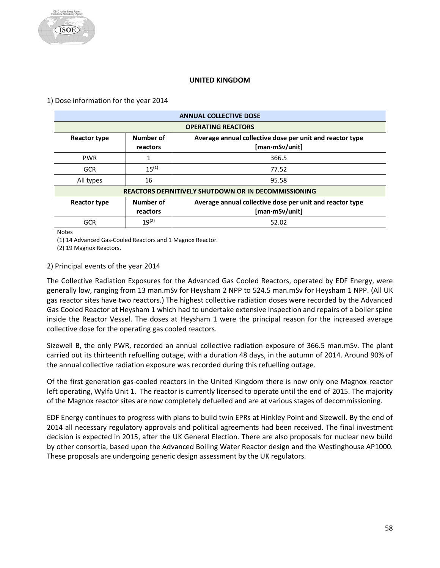#### **UNITED KINGDOM**

<span id="page-58-0"></span>1) Dose information for the year 2014

| <b>ANNUAL COLLECTIVE DOSE</b>                                                                                              |                                                             |                                                                            |  |  |
|----------------------------------------------------------------------------------------------------------------------------|-------------------------------------------------------------|----------------------------------------------------------------------------|--|--|
| <b>OPERATING REACTORS</b>                                                                                                  |                                                             |                                                                            |  |  |
| Number of<br>Average annual collective dose per unit and reactor type<br><b>Reactor type</b><br>[man·mSv/unit]<br>reactors |                                                             |                                                                            |  |  |
| <b>PWR</b>                                                                                                                 |                                                             | 366.5                                                                      |  |  |
| <b>GCR</b>                                                                                                                 | $15^{(1)}$                                                  | 77.52                                                                      |  |  |
| All types                                                                                                                  | 16                                                          | 95.58                                                                      |  |  |
|                                                                                                                            | <b>REACTORS DEFINITIVELY SHUTDOWN OR IN DECOMMISSIONING</b> |                                                                            |  |  |
| <b>Reactor type</b>                                                                                                        | Number of<br>reactors                                       | Average annual collective dose per unit and reactor type<br>[man·mSv/unit] |  |  |
| <b>GCR</b>                                                                                                                 | $19^{(2)}$                                                  | 52.02                                                                      |  |  |

**Notes** 

(1) 14 Advanced Gas-Cooled Reactors and 1 Magnox Reactor.

(2) 19 Magnox Reactors.

# 2) Principal events of the year 2014

The Collective Radiation Exposures for the Advanced Gas Cooled Reactors, operated by EDF Energy, were generally low, ranging from 13 man.mSv for Heysham 2 NPP to 524.5 man.mSv for Heysham 1 NPP. (All UK gas reactor sites have two reactors.) The highest collective radiation doses were recorded by the Advanced Gas Cooled Reactor at Heysham 1 which had to undertake extensive inspection and repairs of a boiler spine inside the Reactor Vessel. The doses at Heysham 1 were the principal reason for the increased average collective dose for the operating gas cooled reactors.

Sizewell B, the only PWR, recorded an annual collective radiation exposure of 366.5 man.mSv. The plant carried out its thirteenth refuelling outage, with a duration 48 days, in the autumn of 2014. Around 90% of the annual collective radiation exposure was recorded during this refuelling outage.

Of the first generation gas-cooled reactors in the United Kingdom there is now only one Magnox reactor left operating, Wylfa Unit 1. The reactor is currently licensed to operate until the end of 2015. The majority of the Magnox reactor sites are now completely defuelled and are at various stages of decommissioning.

EDF Energy continues to progress with plans to build twin EPRs at Hinkley Point and Sizewell. By the end of 2014 all necessary regulatory approvals and political agreements had been received. The final investment decision is expected in 2015, after the UK General Election. There are also proposals for nuclear new build by other consortia, based upon the Advanced Boiling Water Reactor design and the Westinghouse AP1000. These proposals are undergoing generic design assessment by the UK regulators.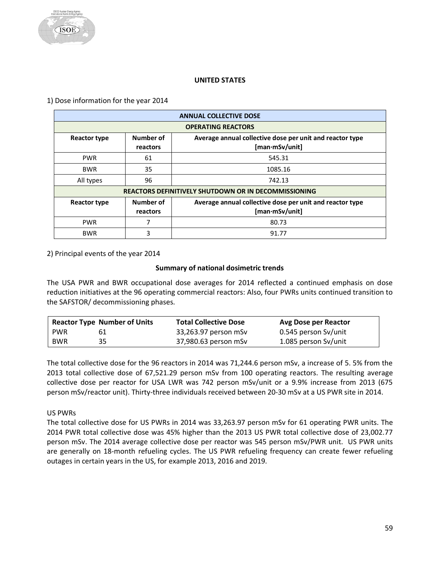#### **UNITED STATES**

<span id="page-59-0"></span>1) Dose information for the year 2014

| <b>ANNUAL COLLECTIVE DOSE</b> |                                                             |                                                                            |  |  |  |
|-------------------------------|-------------------------------------------------------------|----------------------------------------------------------------------------|--|--|--|
| <b>OPERATING REACTORS</b>     |                                                             |                                                                            |  |  |  |
| <b>Reactor type</b>           | Number of<br>reactors                                       | Average annual collective dose per unit and reactor type<br>[man·mSv/unit] |  |  |  |
| <b>PWR</b>                    | 61                                                          | 545.31                                                                     |  |  |  |
| <b>BWR</b>                    | 35                                                          | 1085.16                                                                    |  |  |  |
| All types                     | 96                                                          | 742.13                                                                     |  |  |  |
|                               | <b>REACTORS DEFINITIVELY SHUTDOWN OR IN DECOMMISSIONING</b> |                                                                            |  |  |  |
| <b>Reactor type</b>           | Number of<br>reactors                                       | Average annual collective dose per unit and reactor type<br>[man∙mSv/unit] |  |  |  |
| <b>PWR</b>                    |                                                             | 80.73                                                                      |  |  |  |
| <b>BWR</b>                    | 3                                                           | 91.77                                                                      |  |  |  |

2) Principal events of the year 2014

#### **Summary of national dosimetric trends**

The USA PWR and BWR occupational dose averages for 2014 reflected a continued emphasis on dose reduction initiatives at the 96 operating commercial reactors: Also, four PWRs units continued transition to the SAFSTOR/ decommissioning phases.

|            | <b>Reactor Type Number of Units</b> | <b>Total Collective Dose</b> | Avg Dose per Reactor |
|------------|-------------------------------------|------------------------------|----------------------|
| <b>PWR</b> | 61                                  | 33,263.97 person mSv         | 0.545 person Sv/unit |
| <b>BWR</b> | 35                                  | 37,980.63 person mSv         | 1.085 person Sv/unit |

The total collective dose for the 96 reactors in 2014 was 71,244.6 person mSv, a increase of 5. 5% from the 2013 total collective dose of 67,521.29 person mSv from 100 operating reactors. The resulting average collective dose per reactor for USA LWR was 742 person mSv/unit or a 9.9% increase from 2013 (675 person mSv/reactor unit). Thirty-three individuals received between 20-30 mSv at a US PWR site in 2014.

US PWRs

The total collective dose for US PWRs in 2014 was 33,263.97 person mSv for 61 operating PWR units. The 2014 PWR total collective dose was 45% higher than the 2013 US PWR total collective dose of 23,002.77 person mSv. The 2014 average collective dose per reactor was 545 person mSv/PWR unit. US PWR units are generally on 18-month refueling cycles. The US PWR refueling frequency can create fewer refueling outages in certain years in the US, for example 2013, 2016 and 2019.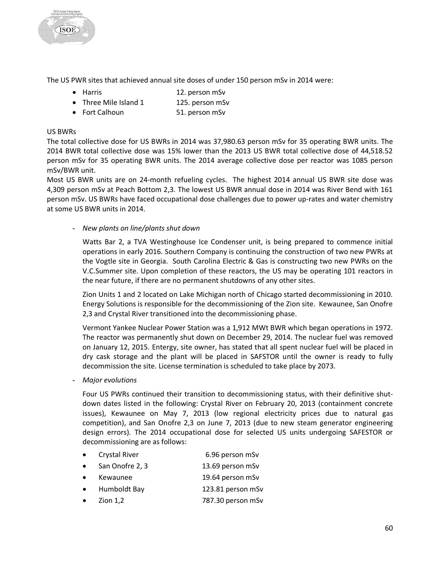

The US PWR sites that achieved annual site doses of under 150 person mSv in 2014 were:

- Harris 12. person mSv
- Three Mile Island 1 125. person mSv
- Fort Calhoun 51. person mSv

#### US BWRs

The total collective dose for US BWRs in 2014 was 37,980.63 person mSv for 35 operating BWR units. The 2014 BWR total collective dose was 15% lower than the 2013 US BWR total collective dose of 44,518.52 person mSv for 35 operating BWR units. The 2014 average collective dose per reactor was 1085 person mSv/BWR unit.

Most US BWR units are on 24-month refueling cycles. The highest 2014 annual US BWR site dose was 4,309 person mSv at Peach Bottom 2,3. The lowest US BWR annual dose in 2014 was River Bend with 161 person mSv. US BWRs have faced occupational dose challenges due to power up-rates and water chemistry at some US BWR units in 2014.

- *New plants on line/plants shut down*

Watts Bar 2, a TVA Westinghouse Ice Condenser unit, is being prepared to commence initial operations in early 2016. Southern Company is continuing the construction of two new PWRs at the Vogtle site in Georgia. South Carolina Electric & Gas is constructing two new PWRs on the V.C.Summer site. Upon completion of these reactors, the US may be operating 101 reactors in the near future, if there are no permanent shutdowns of any other sites.

Zion Units 1 and 2 located on Lake Michigan north of Chicago started decommissioning in 2010. Energy Solutions is responsible for the decommissioning of the Zion site. Kewaunee, San Onofre 2,3 and Crystal River transitioned into the decommissioning phase.

Vermont Yankee Nuclear Power Station was a 1,912 MWt BWR which began operations in 1972. The reactor was permanently shut down on December 29, 2014. The nuclear fuel was removed on January 12, 2015. Entergy, site owner, has stated that all spent nuclear fuel will be placed in dry cask storage and the plant will be placed in SAFSTOR until the owner is ready to fully decommission the site. License termination is scheduled to take place by 2073.

- *Major evolutions*

Four US PWRs continued their transition to decommissioning status, with their definitive shutdown dates listed in the following: Crystal River on February 20, 2013 (containment concrete issues), Kewaunee on May 7, 2013 (low regional electricity prices due to natural gas competition), and San Onofre 2,3 on June 7, 2013 (due to new steam generator engineering design errors). The 2014 occupational dose for selected US units undergoing SAFESTOR or decommissioning are as follows:

- Crystal River 6.96 person mSv
- San Onofre 2, 3 13.69 person mSv
- Kewaunee 19.64 person mSv
- Humboldt Bay 123.81 person mSv
- Zion 1,2 787.30 person mSv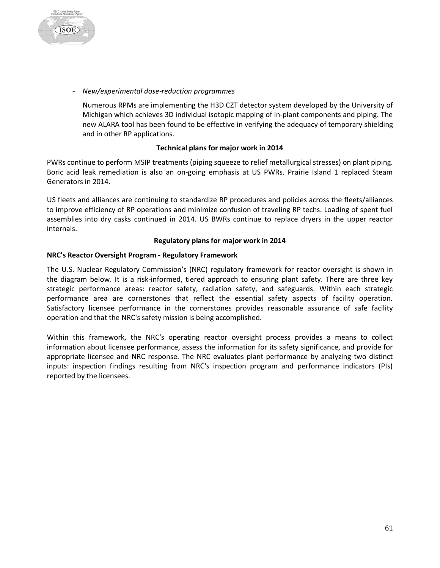

- *New/experimental dose-reduction programmes*

Numerous RPMs are implementing the H3D CZT detector system developed by the University of Michigan which achieves 3D individual isotopic mapping of in-plant components and piping. The new ALARA tool has been found to be effective in verifying the adequacy of temporary shielding and in other RP applications.

#### **Technical plans for major work in 2014**

PWRs continue to perform MSIP treatments (piping squeeze to relief metallurgical stresses) on plant piping. Boric acid leak remediation is also an on-going emphasis at US PWRs. Prairie Island 1 replaced Steam Generators in 2014.

US fleets and alliances are continuing to standardize RP procedures and policies across the fleets/alliances to improve efficiency of RP operations and minimize confusion of traveling RP techs. Loading of spent fuel assemblies into dry casks continued in 2014. US BWRs continue to replace dryers in the upper reactor internals.

#### **Regulatory plans for major work in 2014**

# **NRC's Reactor Oversight Program - Regulatory Framework**

The U.S. Nuclear Regulatory Commission's (NRC) regulatory framework for reactor oversight is shown in the diagram below. It is a risk-informed, tiered approach to ensuring plant safety. There are three key strategic performance areas: reactor safety, radiation safety, and safeguards. Within each strategic performance area are cornerstones that reflect the essential safety aspects of facility operation. Satisfactory licensee performance in the cornerstones provides reasonable assurance of safe facility operation and that the NRC's safety mission is being accomplished.

Within this framework, the NRC's operating reactor oversight process provides a means to collect information about licensee performance, assess the information for its safety significance, and provide for appropriate licensee and NRC response. The NRC evaluates plant performance by analyzing two distinct inputs: inspection findings resulting from NRC's inspection program and performance indicators (PIs) reported by the licensees.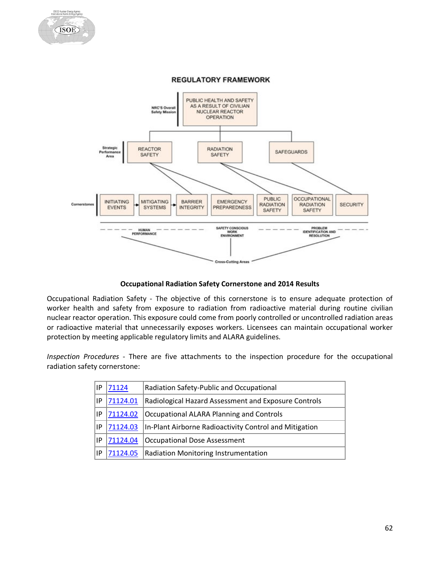

Nuclear Energy Agency<br>nal Atomic Energy Agenc

**ISOE** 

**Occupational Radiation Safety Cornerstone and 2014 Results**

Occupational Radiation Safety - The objective of this cornerstone is to ensure adequate protection of worker health and safety from exposure to radiation from radioactive material during routine civilian nuclear reactor operation. This exposure could come from poorly controlled or uncontrolled radiation areas or radioactive material that unnecessarily exposes workers. Licensees can maintain occupational worker protection by meeting applicable regulatory limits and ALARA guidelines.

*Inspection Procedures* - There are five attachments to the inspection procedure for the occupational radiation safety cornerstone:

| ١P | 71124    | Radiation Safety-Public and Occupational               |
|----|----------|--------------------------------------------------------|
| IP | 71124.01 | Radiological Hazard Assessment and Exposure Controls   |
| IP | 71124.02 | Occupational ALARA Planning and Controls               |
| IP | 71124.03 | In-Plant Airborne Radioactivity Control and Mitigation |
| ΙP | 71124.04 | Occupational Dose Assessment                           |
| ΙP | 71124.05 | Radiation Monitoring Instrumentation                   |